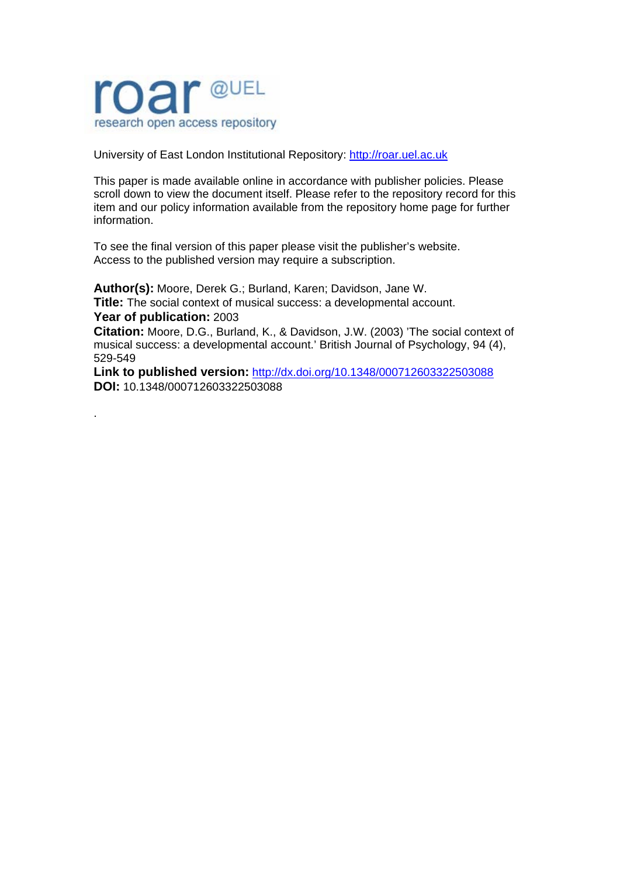

.

University of East London Institutional Repository: [http://roar.uel.ac.uk](http://roar.uel.ac.uk/) 

This paper is made available online in accordance with publisher policies. Please scroll down to view the document itself. Please refer to the repository record for this item and our policy information available from the repository home page for further information.

To see the final version of this paper please visit the publisher's website. Access to the published version may require a subscription.

**Author(s):** Moore, Derek G.; Burland, Karen; Davidson, Jane W. **Title:** The social context of musical success: a developmental account. **Year of publication:** 2003

**Citation:** Moore, D.G., Burland, K., & Davidson, J.W. (2003) 'The social context of musical success: a developmental account.' British Journal of Psychology, 94 (4), 529-549

**Link to published version:** <http://dx.doi.org/10.1348/000712603322503088> **DOI:** 10.1348/000712603322503088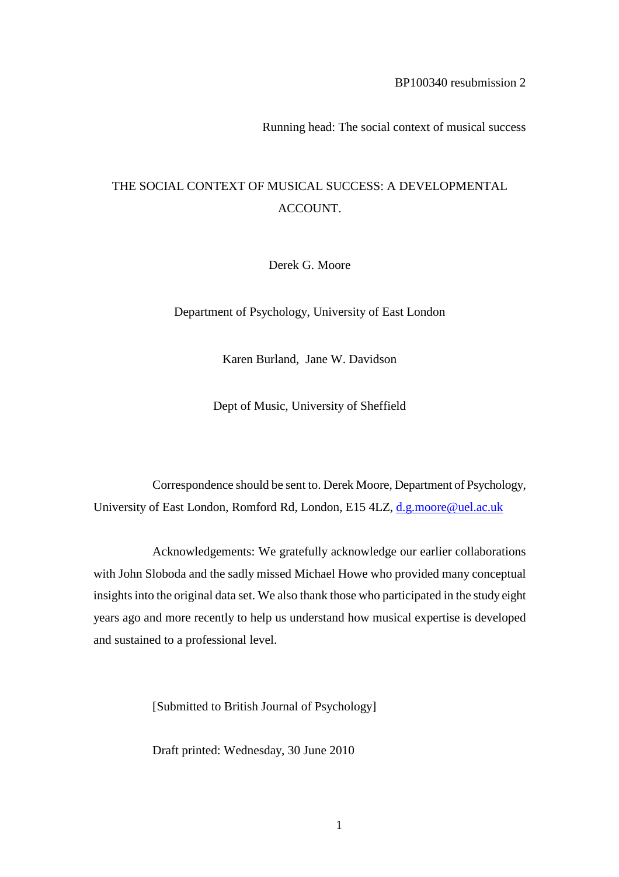Running head: The social context of musical success

# THE SOCIAL CONTEXT OF MUSICAL SUCCESS: A DEVELOPMENTAL ACCOUNT.

Derek G. Moore

Department of Psychology, University of East London

Karen Burland, Jane W. Davidson

Dept of Music, University of Sheffield

Correspondence should be sent to. Derek Moore, Department of Psychology, University of East London, Romford Rd, London, E15 4LZ, [d.g.moore@uel.ac.uk](mailto:d.g.moore@uel.ac.uk)

Acknowledgements: We gratefully acknowledge our earlier collaborations with John Sloboda and the sadly missed Michael Howe who provided many conceptual insights into the original data set. We also thank those who participated in the study eight years ago and more recently to help us understand how musical expertise is developed and sustained to a professional level.

[Submitted to British Journal of Psychology]

Draft printed: Wednesday, 30 June 2010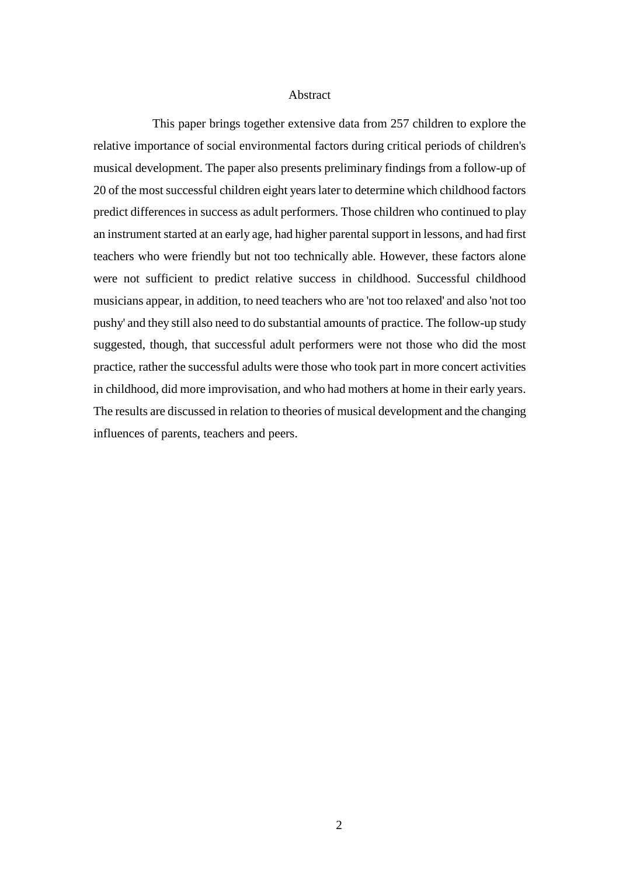#### Abstract

This paper brings together extensive data from 257 children to explore the relative importance of social environmental factors during critical periods of children's musical development. The paper also presents preliminary findings from a follow-up of 20 of the most successful children eight years later to determine which childhood factors predict differences in success as adult performers. Those children who continued to play an instrument started at an early age, had higher parental support in lessons, and had first teachers who were friendly but not too technically able. However, these factors alone were not sufficient to predict relative success in childhood. Successful childhood musicians appear, in addition, to need teachers who are 'not too relaxed' and also 'not too pushy' and they still also need to do substantial amounts of practice. The follow-up study suggested, though, that successful adult performers were not those who did the most practice, rather the successful adults were those who took part in more concert activities in childhood, did more improvisation, and who had mothers at home in their early years. The results are discussed in relation to theories of musical development and the changing influences of parents, teachers and peers.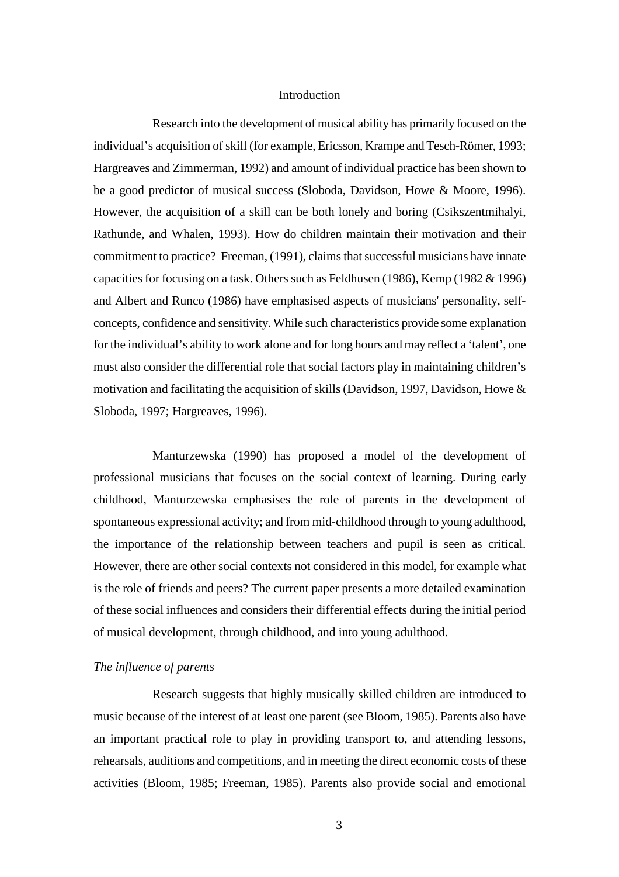#### Introduction

Research into the development of musical ability has primarily focused on the individual's acquisition of skill (for example, Ericsson, Krampe and Tesch-Römer, 1993; Hargreaves and Zimmerman, 1992) and amount of individual practice has been shown to be a good predictor of musical success (Sloboda, Davidson, Howe & Moore, 1996). However, the acquisition of a skill can be both lonely and boring (Csikszentmihalyi, Rathunde, and Whalen, 1993). How do children maintain their motivation and their commitment to practice? Freeman, (1991), claims that successful musicians have innate capacities for focusing on a task. Others such as Feldhusen (1986), Kemp (1982 & 1996) and Albert and Runco (1986) have emphasised aspects of musicians' personality, selfconcepts, confidence and sensitivity. While such characteristics provide some explanation for the individual's ability to work alone and for long hours and may reflect a 'talent', one must also consider the differential role that social factors play in maintaining children's motivation and facilitating the acquisition of skills (Davidson, 1997, Davidson, Howe  $\&$ Sloboda, 1997; Hargreaves, 1996).

Manturzewska (1990) has proposed a model of the development of professional musicians that focuses on the social context of learning. During early childhood, Manturzewska emphasises the role of parents in the development of spontaneous expressional activity; and from mid-childhood through to young adulthood, the importance of the relationship between teachers and pupil is seen as critical. However, there are other social contexts not considered in this model, for example what is the role of friends and peers? The current paper presents a more detailed examination of these social influences and considers their differential effects during the initial period of musical development, through childhood, and into young adulthood.

## *The influence of parents*

Research suggests that highly musically skilled children are introduced to music because of the interest of at least one parent (see Bloom, 1985). Parents also have an important practical role to play in providing transport to, and attending lessons, rehearsals, auditions and competitions, and in meeting the direct economic costs of these activities (Bloom, 1985; Freeman, 1985). Parents also provide social and emotional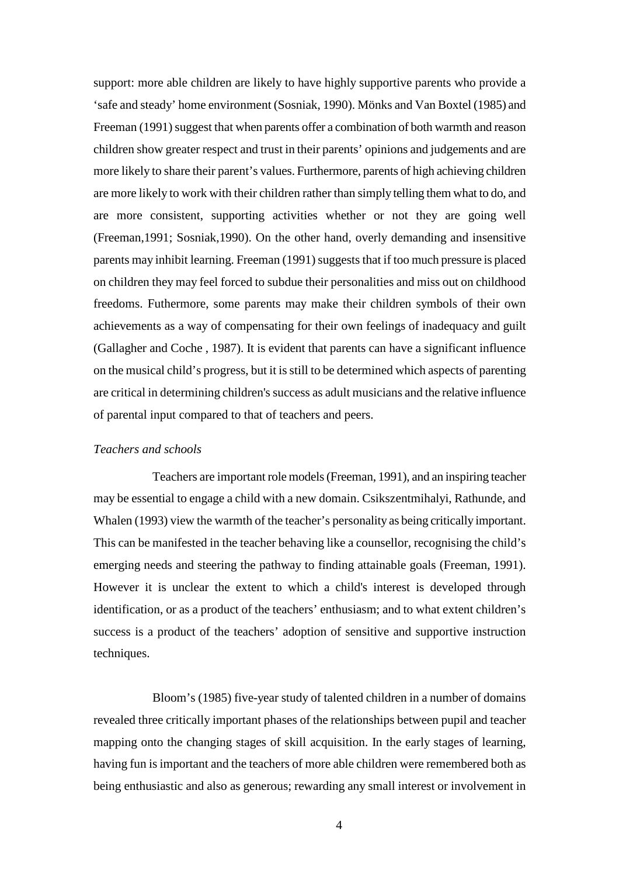support: more able children are likely to have highly supportive parents who provide a 'safe and steady' home environment (Sosniak, 1990). Mönks and Van Boxtel (1985) and Freeman (1991) suggest that when parents offer a combination of both warmth and reason children show greater respect and trust in their parents' opinions and judgements and are more likely to share their parent's values. Furthermore, parents of high achieving children are more likely to work with their children rather than simply telling them what to do, and are more consistent, supporting activities whether or not they are going well (Freeman,1991; Sosniak,1990). On the other hand, overly demanding and insensitive parents may inhibit learning. Freeman (1991) suggests that if too much pressure is placed on children they may feel forced to subdue their personalities and miss out on childhood freedoms. Futhermore, some parents may make their children symbols of their own achievements as a way of compensating for their own feelings of inadequacy and guilt (Gallagher and Coche , 1987). It is evident that parents can have a significant influence on the musical child's progress, but it is still to be determined which aspects of parenting are critical in determining children's success as adult musicians and the relative influence of parental input compared to that of teachers and peers.

## *Teachers and schools*

Teachers are important role models (Freeman, 1991), and an inspiring teacher may be essential to engage a child with a new domain. Csikszentmihalyi, Rathunde, and Whalen (1993) view the warmth of the teacher's personality as being critically important. This can be manifested in the teacher behaving like a counsellor, recognising the child's emerging needs and steering the pathway to finding attainable goals (Freeman, 1991). However it is unclear the extent to which a child's interest is developed through identification, or as a product of the teachers' enthusiasm; and to what extent children's success is a product of the teachers' adoption of sensitive and supportive instruction techniques.

Bloom's (1985) five-year study of talented children in a number of domains revealed three critically important phases of the relationships between pupil and teacher mapping onto the changing stages of skill acquisition. In the early stages of learning, having fun is important and the teachers of more able children were remembered both as being enthusiastic and also as generous; rewarding any small interest or involvement in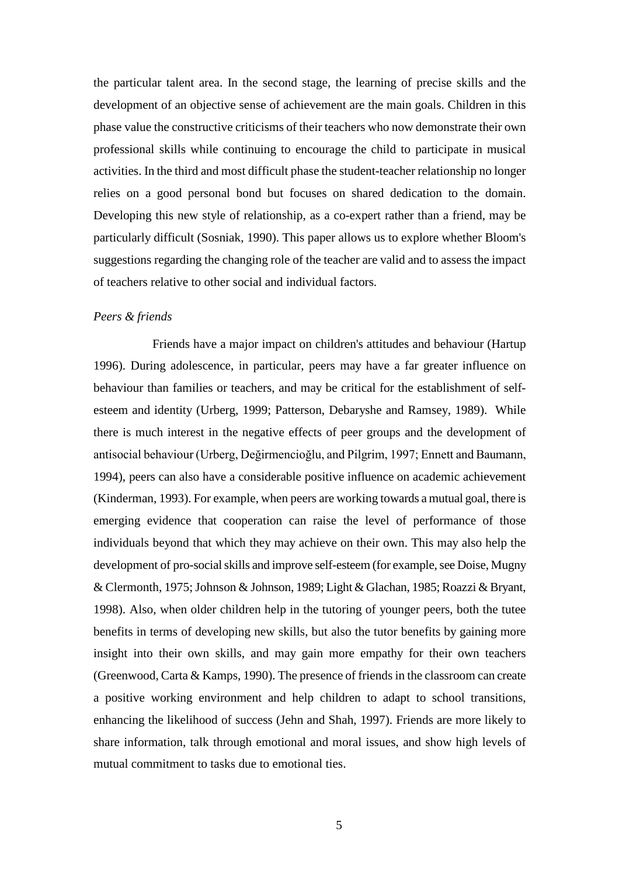the particular talent area. In the second stage, the learning of precise skills and the development of an objective sense of achievement are the main goals. Children in this phase value the constructive criticisms of their teachers who now demonstrate their own professional skills while continuing to encourage the child to participate in musical activities. In the third and most difficult phase the student-teacher relationship no longer relies on a good personal bond but focuses on shared dedication to the domain. Developing this new style of relationship, as a co-expert rather than a friend, may be particularly difficult (Sosniak, 1990). This paper allows us to explore whether Bloom's suggestions regarding the changing role of the teacher are valid and to assess the impact of teachers relative to other social and individual factors.

# *Peers & friends*

Friends have a major impact on children's attitudes and behaviour (Hartup 1996). During adolescence, in particular, peers may have a far greater influence on behaviour than families or teachers, and may be critical for the establishment of selfesteem and identity (Urberg, 1999; Patterson, Debaryshe and Ramsey, 1989). While there is much interest in the negative effects of peer groups and the development of antisocial behaviour (Urberg, Değirmencioğlu, and Pilgrim, 1997; Ennett and Baumann, 1994), peers can also have a considerable positive influence on academic achievement (Kinderman, 1993). For example, when peers are working towards a mutual goal, there is emerging evidence that cooperation can raise the level of performance of those individuals beyond that which they may achieve on their own. This may also help the development of pro-social skills and improve self-esteem (for example, see Doise, Mugny & Clermonth, 1975; Johnson & Johnson, 1989; Light & Glachan, 1985; Roazzi & Bryant, 1998). Also, when older children help in the tutoring of younger peers, both the tutee benefits in terms of developing new skills, but also the tutor benefits by gaining more insight into their own skills, and may gain more empathy for their own teachers (Greenwood, Carta & Kamps, 1990). The presence of friends in the classroom can create a positive working environment and help children to adapt to school transitions, enhancing the likelihood of success (Jehn and Shah, 1997). Friends are more likely to share information, talk through emotional and moral issues, and show high levels of mutual commitment to tasks due to emotional ties.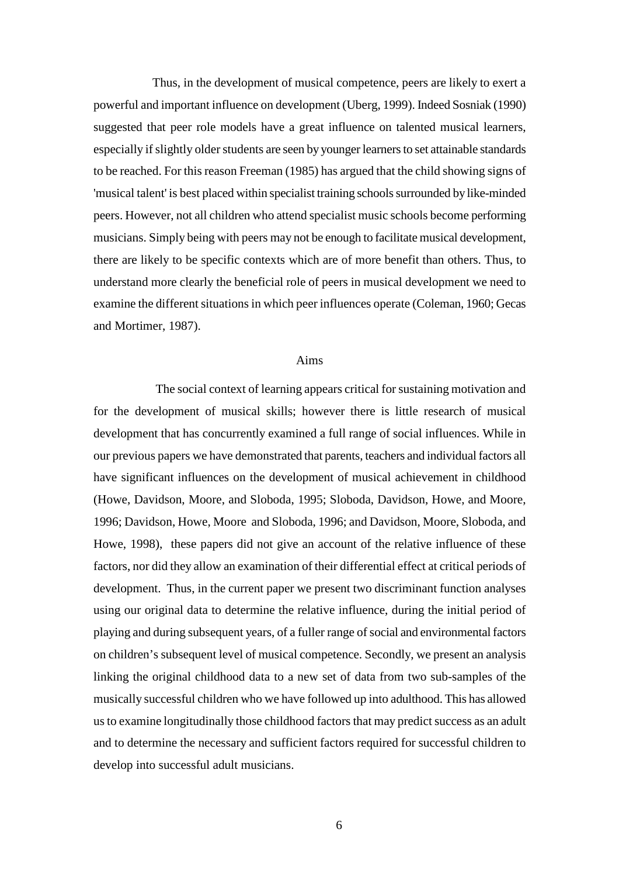Thus, in the development of musical competence, peers are likely to exert a powerful and important influence on development (Uberg, 1999). Indeed Sosniak (1990) suggested that peer role models have a great influence on talented musical learners, especially if slightly older students are seen by younger learners to set attainable standards to be reached. For this reason Freeman (1985) has argued that the child showing signs of 'musical talent' is best placed within specialist training schools surrounded by like-minded peers. However, not all children who attend specialist music schools become performing musicians. Simply being with peers may not be enough to facilitate musical development, there are likely to be specific contexts which are of more benefit than others. Thus, to understand more clearly the beneficial role of peers in musical development we need to examine the different situations in which peer influences operate (Coleman, 1960; Gecas and Mortimer, 1987).

# Aims

The social context of learning appears critical for sustaining motivation and for the development of musical skills; however there is little research of musical development that has concurrently examined a full range of social influences. While in our previous papers we have demonstrated that parents, teachers and individual factors all have significant influences on the development of musical achievement in childhood (Howe, Davidson, Moore, and Sloboda, 1995; Sloboda, Davidson, Howe, and Moore, 1996; Davidson, Howe, Moore and Sloboda, 1996; and Davidson, Moore, Sloboda, and Howe, 1998), these papers did not give an account of the relative influence of these factors, nor did they allow an examination of their differential effect at critical periods of development. Thus, in the current paper we present two discriminant function analyses using our original data to determine the relative influence, during the initial period of playing and during subsequent years, of a fuller range of social and environmental factors on children's subsequent level of musical competence. Secondly, we present an analysis linking the original childhood data to a new set of data from two sub-samples of the musically successful children who we have followed up into adulthood. This has allowed us to examine longitudinally those childhood factors that may predict success as an adult and to determine the necessary and sufficient factors required for successful children to develop into successful adult musicians.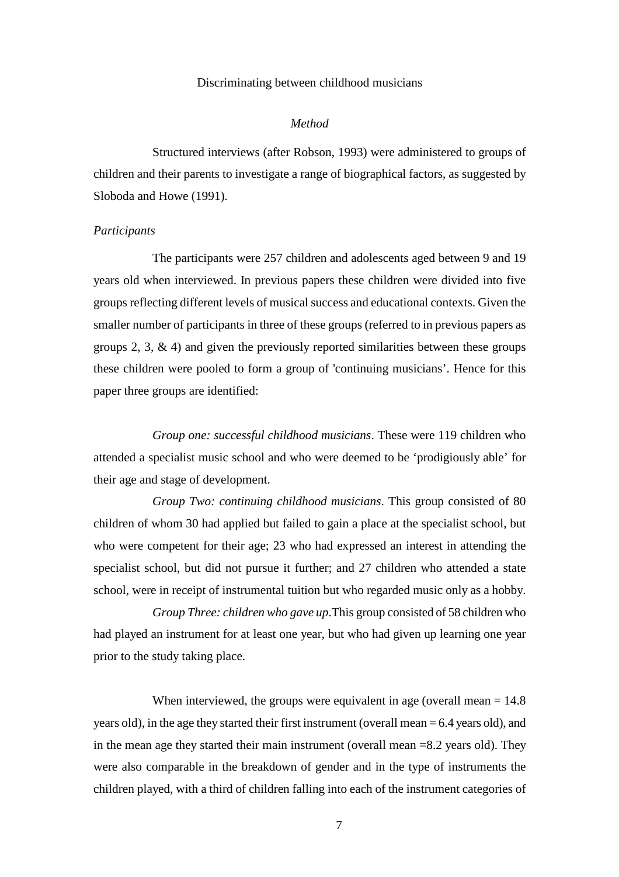#### Discriminating between childhood musicians

#### *Method*

Structured interviews (after Robson, 1993) were administered to groups of children and their parents to investigate a range of biographical factors, as suggested by Sloboda and Howe (1991).

#### *Participants*

The participants were 257 children and adolescents aged between 9 and 19 years old when interviewed. In previous papers these children were divided into five groups reflecting different levels of musical success and educational contexts. Given the smaller number of participants in three of these groups (referred to in previous papers as groups  $2, 3, \& 4$ ) and given the previously reported similarities between these groups these children were pooled to form a group of 'continuing musicians'. Hence for this paper three groups are identified:

*Group one: successful childhood musicians*. These were 119 children who attended a specialist music school and who were deemed to be 'prodigiously able' for their age and stage of development.

*Group Two: continuing childhood musicians*. This group consisted of 80 children of whom 30 had applied but failed to gain a place at the specialist school, but who were competent for their age; 23 who had expressed an interest in attending the specialist school, but did not pursue it further; and 27 children who attended a state school, were in receipt of instrumental tuition but who regarded music only as a hobby.

*Group Three: children who gave up*.This group consisted of 58 children who had played an instrument for at least one year, but who had given up learning one year prior to the study taking place.

When interviewed, the groups were equivalent in age (overall mean  $= 14.8$ ) years old), in the age they started their first instrument (overall mean = 6.4 years old), and in the mean age they started their main instrument (overall mean =8.2 years old). They were also comparable in the breakdown of gender and in the type of instruments the children played, with a third of children falling into each of the instrument categories of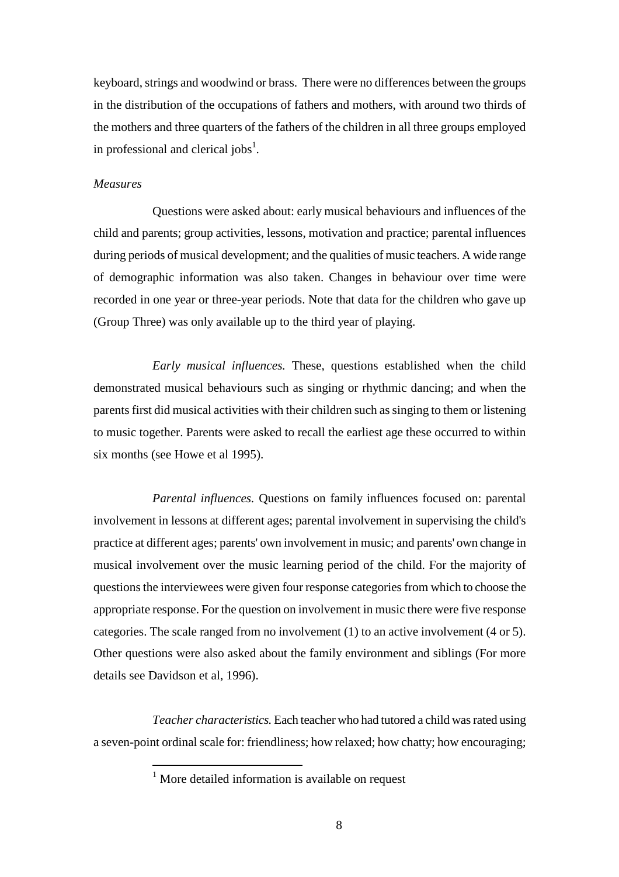keyboard, strings and woodwind or brass. There were no differences between the groups in the distribution of the occupations of fathers and mothers, with around two thirds of the mothers and three quarters of the fathers of the children in all three groups employed in professional and clerical jobs<sup>1</sup>.

# *Measures*

Questions were asked about: early musical behaviours and influences of the child and parents; group activities, lessons, motivation and practice; parental influences during periods of musical development; and the qualities of music teachers. A wide range of demographic information was also taken. Changes in behaviour over time were recorded in one year or three-year periods. Note that data for the children who gave up (Group Three) was only available up to the third year of playing.

*Early musical influences.* These, questions established when the child demonstrated musical behaviours such as singing or rhythmic dancing; and when the parents first did musical activities with their children such as singing to them or listening to music together. Parents were asked to recall the earliest age these occurred to within six months (see Howe et al 1995).

*Parental influences.* Questions on family influences focused on: parental involvement in lessons at different ages; parental involvement in supervising the child's practice at different ages; parents' own involvement in music; and parents' own change in musical involvement over the music learning period of the child. For the majority of questions the interviewees were given four response categories from which to choose the appropriate response. For the question on involvement in music there were five response categories. The scale ranged from no involvement (1) to an active involvement (4 or 5). Other questions were also asked about the family environment and siblings (For more details see Davidson et al, 1996).

*Teacher characteristics.* Each teacher who had tutored a child was rated using a seven-point ordinal scale for: friendliness; how relaxed; how chatty; how encouraging;

 $<sup>1</sup>$  More detailed information is available on request</sup>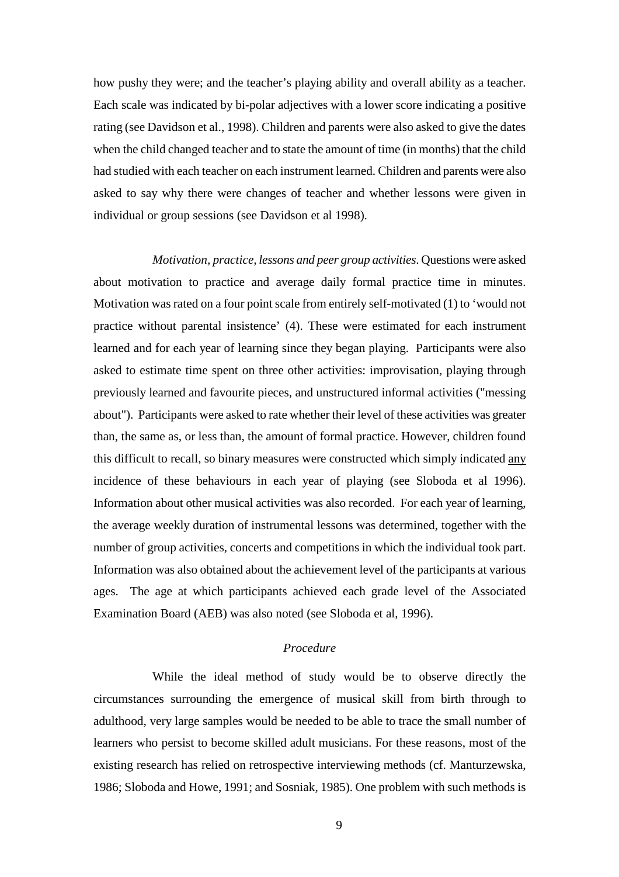how pushy they were; and the teacher's playing ability and overall ability as a teacher. Each scale was indicated by bi-polar adjectives with a lower score indicating a positive rating (see Davidson et al., 1998). Children and parents were also asked to give the dates when the child changed teacher and to state the amount of time (in months) that the child had studied with each teacher on each instrument learned. Children and parents were also asked to say why there were changes of teacher and whether lessons were given in individual or group sessions (see Davidson et al 1998).

*Motivation, practice, lessons and peer group activities*. Questions were asked about motivation to practice and average daily formal practice time in minutes. Motivation was rated on a four point scale from entirely self-motivated (1) to 'would not practice without parental insistence' (4). These were estimated for each instrument learned and for each year of learning since they began playing. Participants were also asked to estimate time spent on three other activities: improvisation, playing through previously learned and favourite pieces, and unstructured informal activities ("messing about"). Participants were asked to rate whether their level of these activities was greater than, the same as, or less than, the amount of formal practice. However, children found this difficult to recall, so binary measures were constructed which simply indicated any incidence of these behaviours in each year of playing (see Sloboda et al 1996). Information about other musical activities was also recorded. For each year of learning, the average weekly duration of instrumental lessons was determined, together with the number of group activities, concerts and competitions in which the individual took part. Information was also obtained about the achievement level of the participants at various ages. The age at which participants achieved each grade level of the Associated Examination Board (AEB) was also noted (see Sloboda et al, 1996).

# *Procedure*

While the ideal method of study would be to observe directly the circumstances surrounding the emergence of musical skill from birth through to adulthood, very large samples would be needed to be able to trace the small number of learners who persist to become skilled adult musicians. For these reasons, most of the existing research has relied on retrospective interviewing methods (cf. Manturzewska, 1986; Sloboda and Howe, 1991; and Sosniak, 1985). One problem with such methods is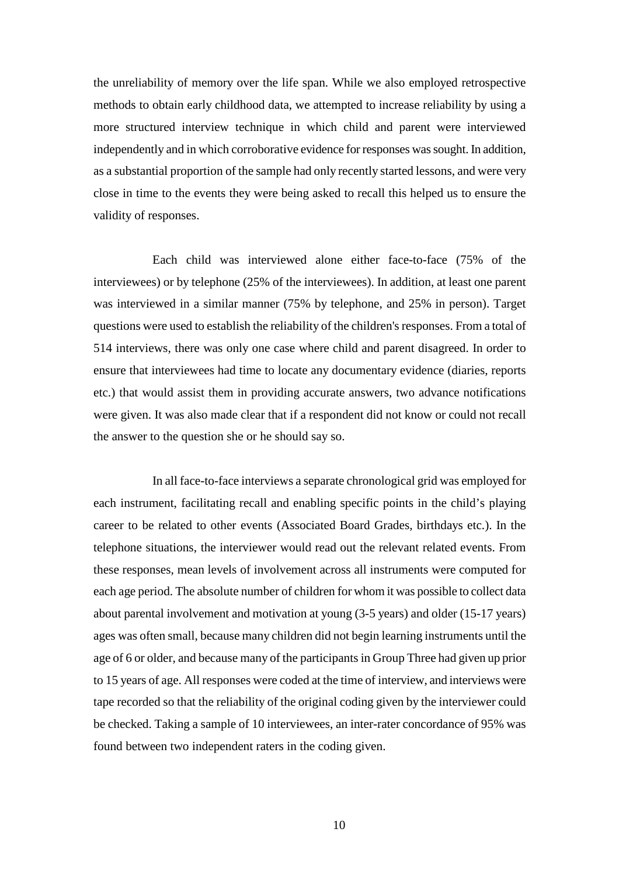the unreliability of memory over the life span. While we also employed retrospective methods to obtain early childhood data, we attempted to increase reliability by using a more structured interview technique in which child and parent were interviewed independently and in which corroborative evidence for responses was sought. In addition, as a substantial proportion of the sample had only recently started lessons, and were very close in time to the events they were being asked to recall this helped us to ensure the validity of responses.

Each child was interviewed alone either face-to-face (75% of the interviewees) or by telephone (25% of the interviewees). In addition, at least one parent was interviewed in a similar manner (75% by telephone, and 25% in person). Target questions were used to establish the reliability of the children's responses. From a total of 514 interviews, there was only one case where child and parent disagreed. In order to ensure that interviewees had time to locate any documentary evidence (diaries, reports etc.) that would assist them in providing accurate answers, two advance notifications were given. It was also made clear that if a respondent did not know or could not recall the answer to the question she or he should say so.

In all face-to-face interviews a separate chronological grid was employed for each instrument, facilitating recall and enabling specific points in the child's playing career to be related to other events (Associated Board Grades, birthdays etc.). In the telephone situations, the interviewer would read out the relevant related events. From these responses, mean levels of involvement across all instruments were computed for each age period. The absolute number of children for whom it was possible to collect data about parental involvement and motivation at young (3-5 years) and older (15-17 years) ages was often small, because many children did not begin learning instruments until the age of 6 or older, and because many of the participants in Group Three had given up prior to 15 years of age. All responses were coded at the time of interview, and interviews were tape recorded so that the reliability of the original coding given by the interviewer could be checked. Taking a sample of 10 interviewees, an inter-rater concordance of 95% was found between two independent raters in the coding given.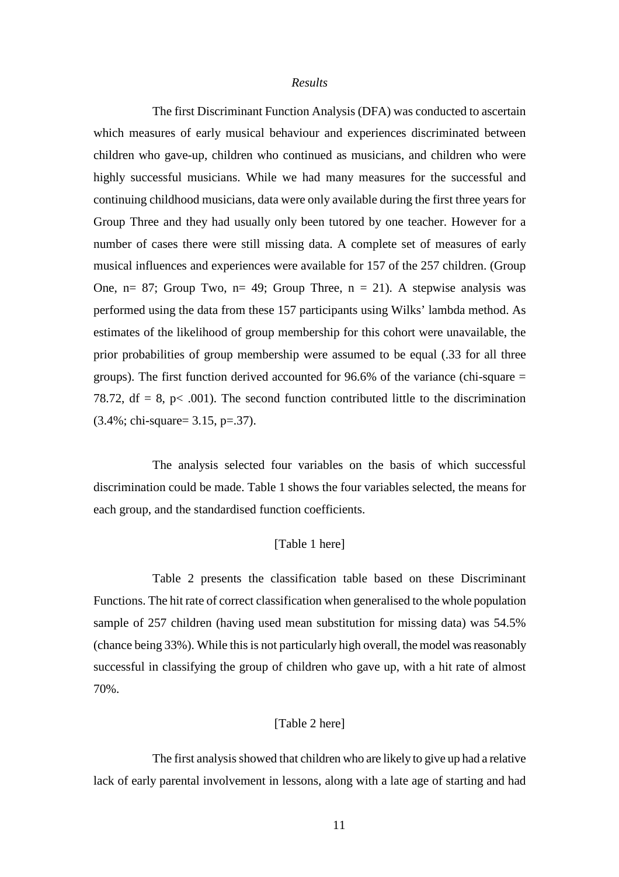#### *Results*

The first Discriminant Function Analysis (DFA) was conducted to ascertain which measures of early musical behaviour and experiences discriminated between children who gave-up, children who continued as musicians, and children who were highly successful musicians. While we had many measures for the successful and continuing childhood musicians, data were only available during the first three years for Group Three and they had usually only been tutored by one teacher. However for a number of cases there were still missing data. A complete set of measures of early musical influences and experiences were available for 157 of the 257 children. (Group One,  $n= 87$ ; Group Two,  $n= 49$ ; Group Three,  $n = 21$ ). A stepwise analysis was performed using the data from these 157 participants using Wilks' lambda method. As estimates of the likelihood of group membership for this cohort were unavailable, the prior probabilities of group membership were assumed to be equal (.33 for all three groups). The first function derived accounted for 96.6% of the variance (chi-square = 78.72, df = 8, p < .001). The second function contributed little to the discrimination (3.4%; chi-square= 3.15, p=.37).

The analysis selected four variables on the basis of which successful discrimination could be made. Table 1 shows the four variables selected, the means for each group, and the standardised function coefficients.

# [Table 1 here]

Table 2 presents the classification table based on these Discriminant Functions. The hit rate of correct classification when generalised to the whole population sample of 257 children (having used mean substitution for missing data) was 54.5% (chance being 33%). While this is not particularly high overall, the model was reasonably successful in classifying the group of children who gave up, with a hit rate of almost 70%.

# [Table 2 here]

The first analysis showed that children who are likely to give up had a relative lack of early parental involvement in lessons, along with a late age of starting and had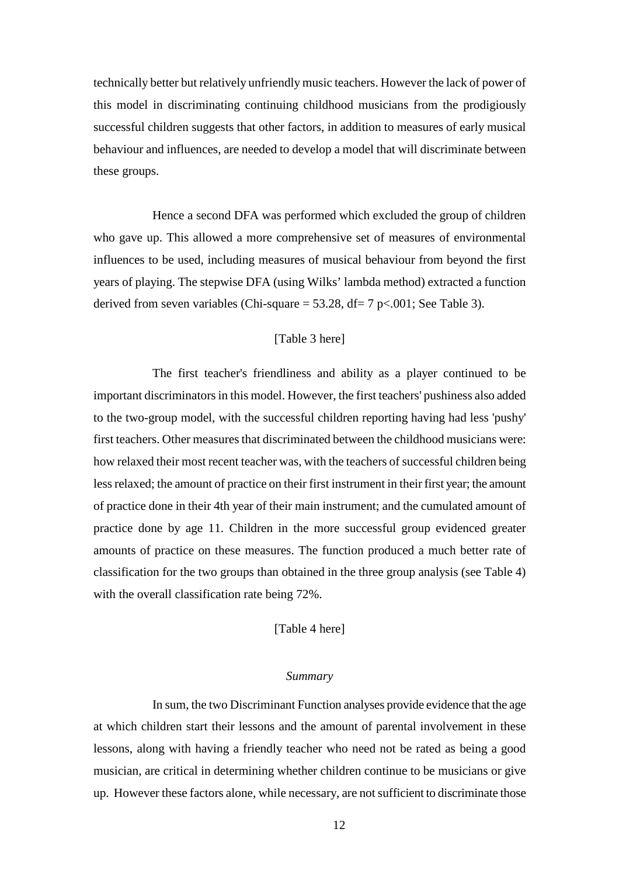technically better but relatively unfriendly music teachers. However the lack of power of this model in discriminating continuing childhood musicians from the prodigiously successful children suggests that other factors, in addition to measures of early musical behaviour and influences, are needed to develop a model that will discriminate between these groups.

Hence a second DFA was performed which excluded the group of children who gave up. This allowed a more comprehensive set of measures of environmental influences to be used, including measures of musical behaviour from beyond the first years of playing. The stepwise DFA (using Wilks' lambda method) extracted a function derived from seven variables (Chi-square  $=$  53.28, df $=$  7 p $<$ .001; See Table 3).

## [Table 3 here]

The first teacher's friendliness and ability as a player continued to be important discriminators in this model. However, the first teachers' pushiness also added to the two-group model, with the successful children reporting having had less 'pushy' first teachers. Other measures that discriminated between the childhood musicians were: how relaxed their most recent teacher was, with the teachers of successful children being less relaxed; the amount of practice on their first instrument in their first year; the amount of practice done in their 4th year of their main instrument; and the cumulated amount of practice done by age 11. Children in the more successful group evidenced greater amounts of practice on these measures. The function produced a much better rate of classification for the two groups than obtained in the three group analysis (see Table 4) with the overall classification rate being 72%.

[Table 4 here]

#### *Summary*

In sum, the two Discriminant Function analyses provide evidence that the age at which children start their lessons and the amount of parental involvement in these lessons, along with having a friendly teacher who need not be rated as being a good musician, are critical in determining whether children continue to be musicians or give up. However these factors alone, while necessary, are not sufficient to discriminate those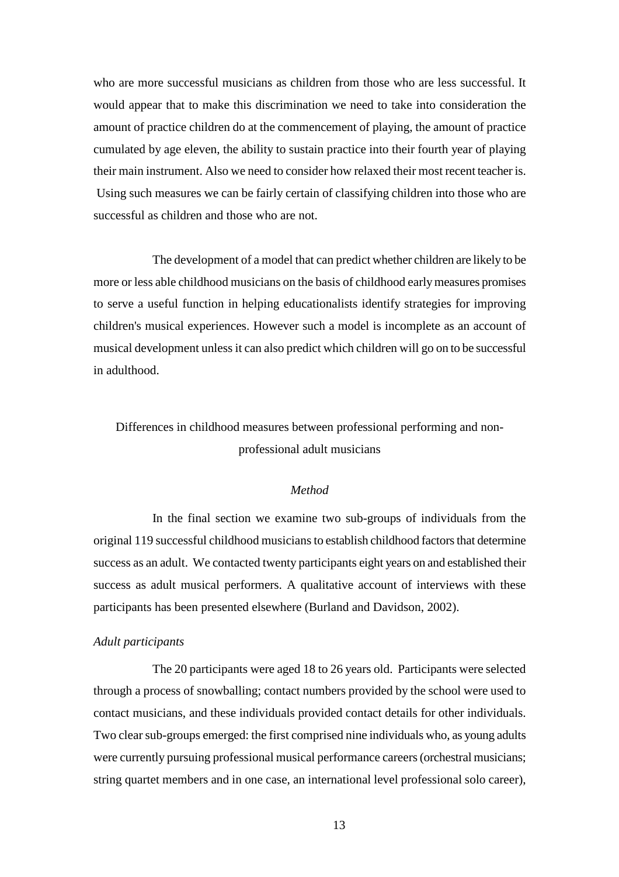who are more successful musicians as children from those who are less successful. It would appear that to make this discrimination we need to take into consideration the amount of practice children do at the commencement of playing, the amount of practice cumulated by age eleven, the ability to sustain practice into their fourth year of playing their main instrument. Also we need to consider how relaxed their most recent teacher is. Using such measures we can be fairly certain of classifying children into those who are successful as children and those who are not.

The development of a model that can predict whether children are likely to be more or less able childhood musicians on the basis of childhood early measures promises to serve a useful function in helping educationalists identify strategies for improving children's musical experiences. However such a model is incomplete as an account of musical development unless it can also predict which children will go on to be successful in adulthood.

Differences in childhood measures between professional performing and nonprofessional adult musicians

# *Method*

In the final section we examine two sub-groups of individuals from the original 119 successful childhood musiciansto establish childhood factors that determine success as an adult. We contacted twenty participants eight years on and established their success as adult musical performers. A qualitative account of interviews with these participants has been presented elsewhere (Burland and Davidson, 2002).

# *Adult participants*

The 20 participants were aged 18 to 26 years old. Participants were selected through a process of snowballing; contact numbers provided by the school were used to contact musicians, and these individuals provided contact details for other individuals. Two clear sub-groups emerged: the first comprised nine individuals who, as young adults were currently pursuing professional musical performance careers (orchestral musicians; string quartet members and in one case, an international level professional solo career),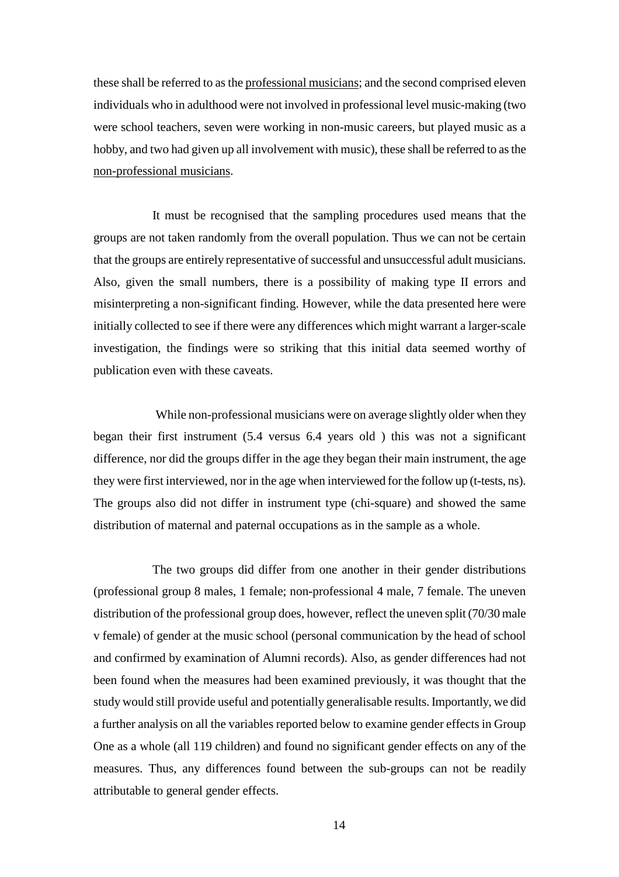these shall be referred to as the professional musicians; and the second comprised eleven individuals who in adulthood were not involved in professional level music-making (two were school teachers, seven were working in non-music careers, but played music as a hobby, and two had given up all involvement with music), these shall be referred to as the non-professional musicians.

It must be recognised that the sampling procedures used means that the groups are not taken randomly from the overall population. Thus we can not be certain that the groups are entirely representative of successful and unsuccessful adult musicians. Also, given the small numbers, there is a possibility of making type II errors and misinterpreting a non-significant finding. However, while the data presented here were initially collected to see if there were any differences which might warrant a larger-scale investigation, the findings were so striking that this initial data seemed worthy of publication even with these caveats.

While non-professional musicians were on average slightly older when they began their first instrument (5.4 versus 6.4 years old ) this was not a significant difference, nor did the groups differ in the age they began their main instrument, the age they were first interviewed, nor in the age when interviewed for the follow up (t-tests, ns). The groups also did not differ in instrument type (chi-square) and showed the same distribution of maternal and paternal occupations as in the sample as a whole.

The two groups did differ from one another in their gender distributions (professional group 8 males, 1 female; non-professional 4 male, 7 female. The uneven distribution of the professional group does, however, reflect the uneven split (70/30 male v female) of gender at the music school (personal communication by the head of school and confirmed by examination of Alumni records). Also, as gender differences had not been found when the measures had been examined previously, it was thought that the study would still provide useful and potentially generalisable results. Importantly, we did a further analysis on all the variables reported below to examine gender effects in Group One as a whole (all 119 children) and found no significant gender effects on any of the measures. Thus, any differences found between the sub-groups can not be readily attributable to general gender effects.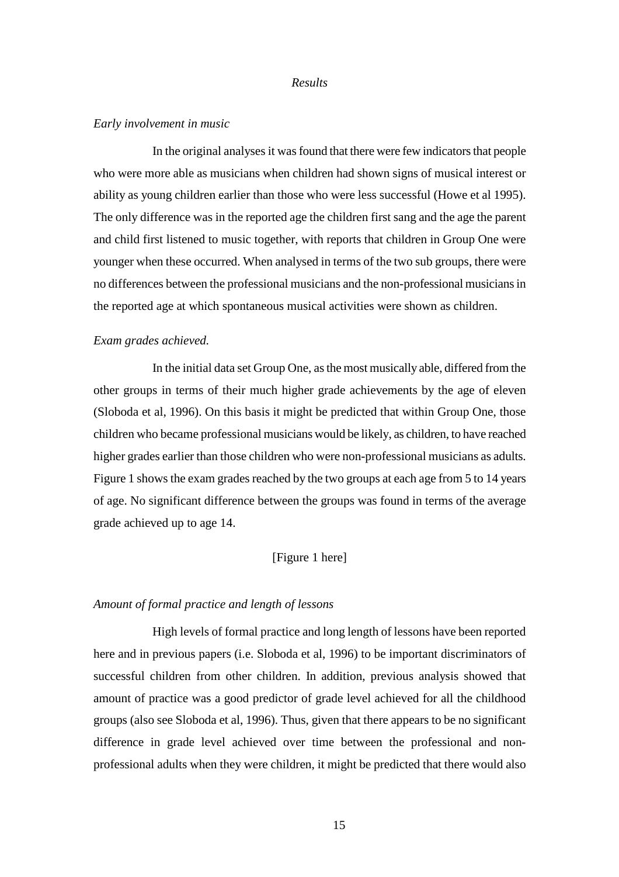#### *Results*

#### *Early involvement in music*

In the original analyses it was found that there were few indicators that people who were more able as musicians when children had shown signs of musical interest or ability as young children earlier than those who were less successful (Howe et al 1995). The only difference was in the reported age the children first sang and the age the parent and child first listened to music together, with reports that children in Group One were younger when these occurred. When analysed in terms of the two sub groups, there were no differences between the professional musicians and the non-professional musicians in the reported age at which spontaneous musical activities were shown as children.

## *Exam grades achieved.*

In the initial data set Group One, as the most musically able, differed from the other groups in terms of their much higher grade achievements by the age of eleven (Sloboda et al, 1996). On this basis it might be predicted that within Group One, those children who became professional musicians would be likely, as children, to have reached higher grades earlier than those children who were non-professional musicians as adults. Figure 1 shows the exam grades reached by the two groups at each age from 5 to 14 years of age. No significant difference between the groups was found in terms of the average grade achieved up to age 14.

# [Figure 1 here]

# *Amount of formal practice and length of lessons*

High levels of formal practice and long length of lessons have been reported here and in previous papers (i.e. Sloboda et al, 1996) to be important discriminators of successful children from other children. In addition, previous analysis showed that amount of practice was a good predictor of grade level achieved for all the childhood groups (also see Sloboda et al, 1996). Thus, given that there appears to be no significant difference in grade level achieved over time between the professional and nonprofessional adults when they were children, it might be predicted that there would also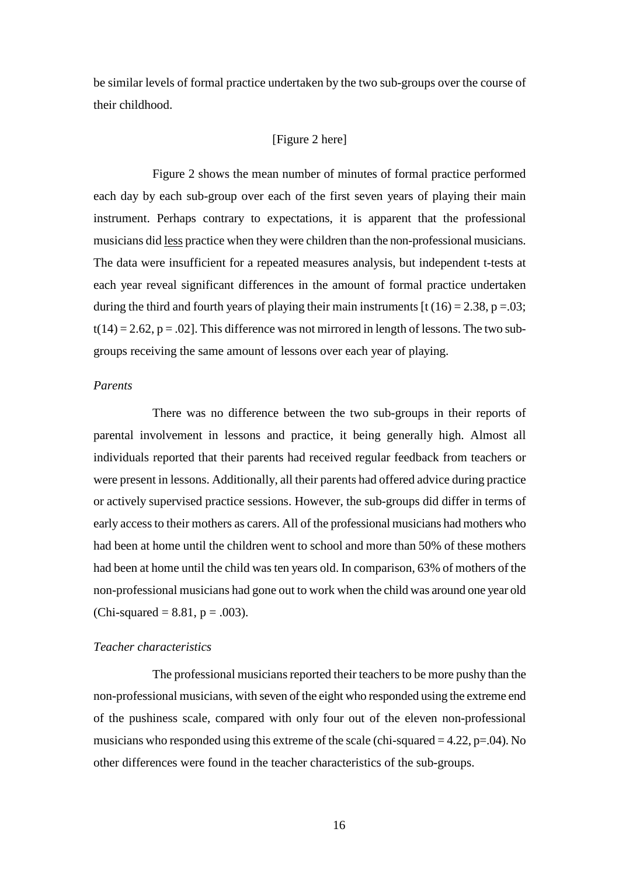be similar levels of formal practice undertaken by the two sub-groups over the course of their childhood.

# [Figure 2 here]

Figure 2 shows the mean number of minutes of formal practice performed each day by each sub-group over each of the first seven years of playing their main instrument. Perhaps contrary to expectations, it is apparent that the professional musicians did less practice when they were children than the non-professional musicians. The data were insufficient for a repeated measures analysis, but independent t-tests at each year reveal significant differences in the amount of formal practice undertaken during the third and fourth years of playing their main instruments  $\left[ t \left( 16 \right) = 2.38, p = .03 \right]$ ;  $t(14) = 2.62$ ,  $p = .02$ ]. This difference was not mirrored in length of lessons. The two subgroups receiving the same amount of lessons over each year of playing.

## *Parents*

There was no difference between the two sub-groups in their reports of parental involvement in lessons and practice, it being generally high. Almost all individuals reported that their parents had received regular feedback from teachers or were present in lessons. Additionally, all their parents had offered advice during practice or actively supervised practice sessions. However, the sub-groups did differ in terms of early access to their mothers as carers. All of the professional musicians had mothers who had been at home until the children went to school and more than 50% of these mothers had been at home until the child was ten years old. In comparison, 63% of mothers of the non-professional musicians had gone out to work when the child was around one year old (Chi-squared =  $8.81$ , p = .003).

## *Teacher characteristics*

The professional musicians reported their teachers to be more pushy than the non-professional musicians, with seven of the eight who responded using the extreme end of the pushiness scale, compared with only four out of the eleven non-professional musicians who responded using this extreme of the scale (chi-squared  $= 4.22$ ,  $p = .04$ ). No other differences were found in the teacher characteristics of the sub-groups.

16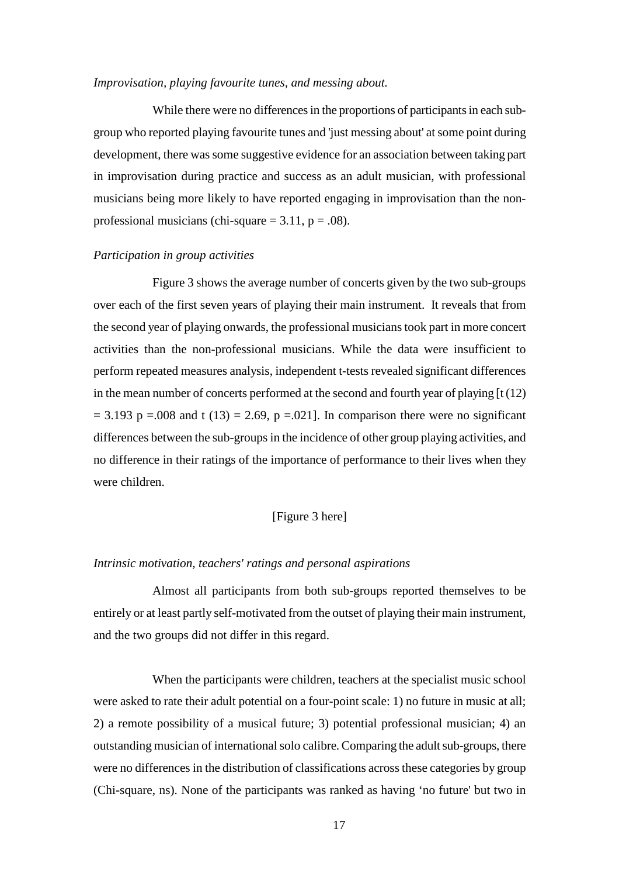## *Improvisation, playing favourite tunes, and messing about.*

While there were no differences in the proportions of participants in each subgroup who reported playing favourite tunes and 'just messing about' at some point during development, there was some suggestive evidence for an association between taking part in improvisation during practice and success as an adult musician, with professional musicians being more likely to have reported engaging in improvisation than the nonprofessional musicians (chi-square  $= 3.11$ ,  $p = .08$ ).

## *Participation in group activities*

Figure 3 shows the average number of concerts given by the two sub-groups over each of the first seven years of playing their main instrument. It reveals that from the second year of playing onwards, the professional musicians took part in more concert activities than the non-professional musicians. While the data were insufficient to perform repeated measures analysis, independent t-tests revealed significant differences in the mean number of concerts performed at the second and fourth year of playing [t (12)  $= 3.193$  p =.008 and t (13) = 2.69, p =.021]. In comparison there were no significant differences between the sub-groups in the incidence of other group playing activities, and no difference in their ratings of the importance of performance to their lives when they were children.

## [Figure 3 here]

## *Intrinsic motivation, teachers' ratings and personal aspirations*

Almost all participants from both sub-groups reported themselves to be entirely or at least partly self-motivated from the outset of playing their main instrument, and the two groups did not differ in this regard.

When the participants were children, teachers at the specialist music school were asked to rate their adult potential on a four-point scale: 1) no future in music at all; 2) a remote possibility of a musical future; 3) potential professional musician; 4) an outstanding musician of international solo calibre. Comparing the adult sub-groups, there were no differences in the distribution of classifications across these categories by group (Chi-square, ns). None of the participants was ranked as having 'no future' but two in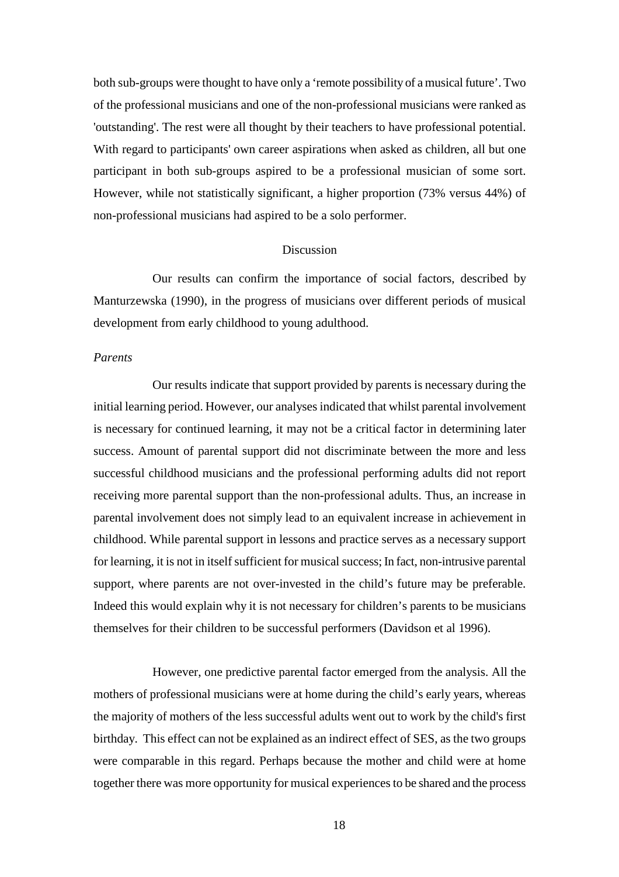both sub-groups were thought to have only a 'remote possibility of a musical future'. Two of the professional musicians and one of the non-professional musicians were ranked as 'outstanding'. The rest were all thought by their teachers to have professional potential. With regard to participants' own career aspirations when asked as children, all but one participant in both sub-groups aspired to be a professional musician of some sort. However, while not statistically significant, a higher proportion (73% versus 44%) of non-professional musicians had aspired to be a solo performer.

#### Discussion

Our results can confirm the importance of social factors, described by Manturzewska (1990), in the progress of musicians over different periods of musical development from early childhood to young adulthood.

## *Parents*

Our results indicate that support provided by parents is necessary during the initial learning period. However, our analyses indicated that whilst parental involvement is necessary for continued learning, it may not be a critical factor in determining later success. Amount of parental support did not discriminate between the more and less successful childhood musicians and the professional performing adults did not report receiving more parental support than the non-professional adults. Thus, an increase in parental involvement does not simply lead to an equivalent increase in achievement in childhood. While parental support in lessons and practice serves as a necessary support for learning, it is not in itself sufficient for musical success; In fact, non-intrusive parental support, where parents are not over-invested in the child's future may be preferable. Indeed this would explain why it is not necessary for children's parents to be musicians themselves for their children to be successful performers (Davidson et al 1996).

However, one predictive parental factor emerged from the analysis. All the mothers of professional musicians were at home during the child's early years, whereas the majority of mothers of the less successful adults went out to work by the child's first birthday. This effect can not be explained as an indirect effect of SES, as the two groups were comparable in this regard. Perhaps because the mother and child were at home together there was more opportunity for musical experiences to be shared and the process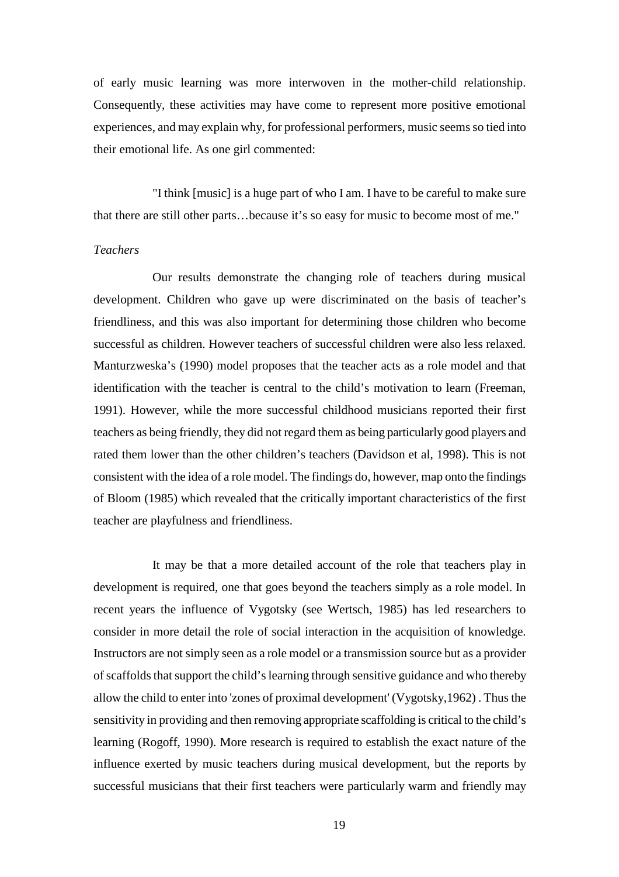of early music learning was more interwoven in the mother-child relationship. Consequently, these activities may have come to represent more positive emotional experiences, and may explain why, for professional performers, music seems so tied into their emotional life. As one girl commented:

"I think [music] is a huge part of who I am. I have to be careful to make sure that there are still other parts…because it's so easy for music to become most of me."

## *Teachers*

Our results demonstrate the changing role of teachers during musical development. Children who gave up were discriminated on the basis of teacher's friendliness, and this was also important for determining those children who become successful as children. However teachers of successful children were also less relaxed. Manturzweska's (1990) model proposes that the teacher acts as a role model and that identification with the teacher is central to the child's motivation to learn (Freeman, 1991). However, while the more successful childhood musicians reported their first teachers as being friendly, they did not regard them as being particularly good players and rated them lower than the other children's teachers (Davidson et al, 1998). This is not consistent with the idea of a role model. The findings do, however, map onto the findings of Bloom (1985) which revealed that the critically important characteristics of the first teacher are playfulness and friendliness.

It may be that a more detailed account of the role that teachers play in development is required, one that goes beyond the teachers simply as a role model. In recent years the influence of Vygotsky (see Wertsch, 1985) has led researchers to consider in more detail the role of social interaction in the acquisition of knowledge. Instructors are not simply seen as a role model or a transmission source but as a provider of scaffolds that support the child's learning through sensitive guidance and who thereby allow the child to enter into 'zones of proximal development' (Vygotsky,1962) . Thus the sensitivity in providing and then removing appropriate scaffolding is critical to the child's learning (Rogoff, 1990). More research is required to establish the exact nature of the influence exerted by music teachers during musical development, but the reports by successful musicians that their first teachers were particularly warm and friendly may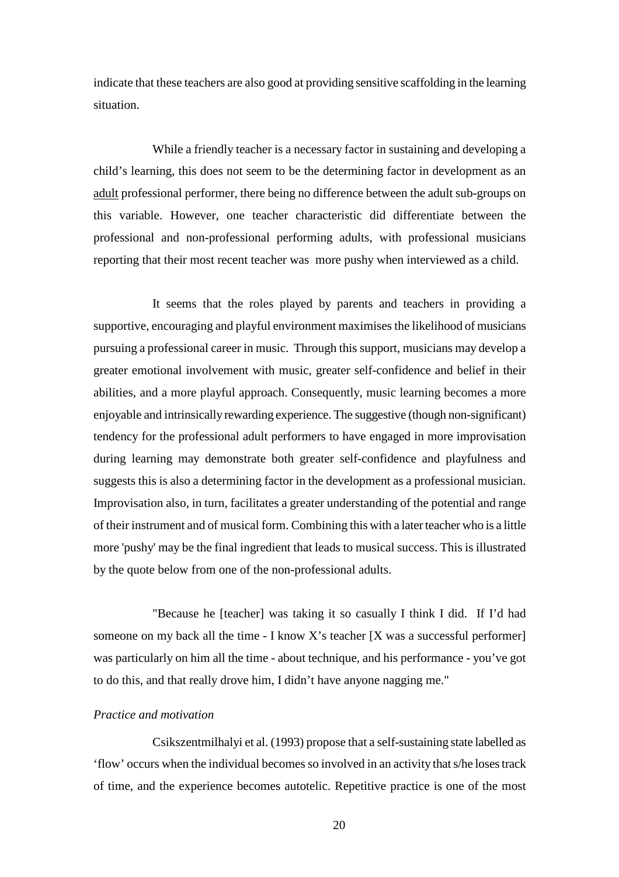indicate that these teachers are also good at providing sensitive scaffolding in the learning situation.

While a friendly teacher is a necessary factor in sustaining and developing a child's learning, this does not seem to be the determining factor in development as an adult professional performer, there being no difference between the adult sub-groups on this variable. However, one teacher characteristic did differentiate between the professional and non-professional performing adults, with professional musicians reporting that their most recent teacher was more pushy when interviewed as a child.

It seems that the roles played by parents and teachers in providing a supportive, encouraging and playful environment maximises the likelihood of musicians pursuing a professional career in music. Through this support, musicians may develop a greater emotional involvement with music, greater self-confidence and belief in their abilities, and a more playful approach. Consequently, music learning becomes a more enjoyable and intrinsically rewarding experience. The suggestive (though non-significant) tendency for the professional adult performers to have engaged in more improvisation during learning may demonstrate both greater self-confidence and playfulness and suggests this is also a determining factor in the development as a professional musician. Improvisation also, in turn, facilitates a greater understanding of the potential and range of their instrument and of musical form. Combining this with a later teacher who is a little more 'pushy' may be the final ingredient that leads to musical success. This is illustrated by the quote below from one of the non-professional adults.

"Because he [teacher] was taking it so casually I think I did. If I'd had someone on my back all the time - I know X's teacher [X was a successful performer] was particularly on him all the time - about technique, and his performance - you've got to do this, and that really drove him, I didn't have anyone nagging me."

# *Practice and motivation*

Csikszentmilhalyi et al. (1993) propose that a self-sustaining state labelled as 'flow' occurs when the individual becomes so involved in an activity that s/he loses track of time, and the experience becomes autotelic. Repetitive practice is one of the most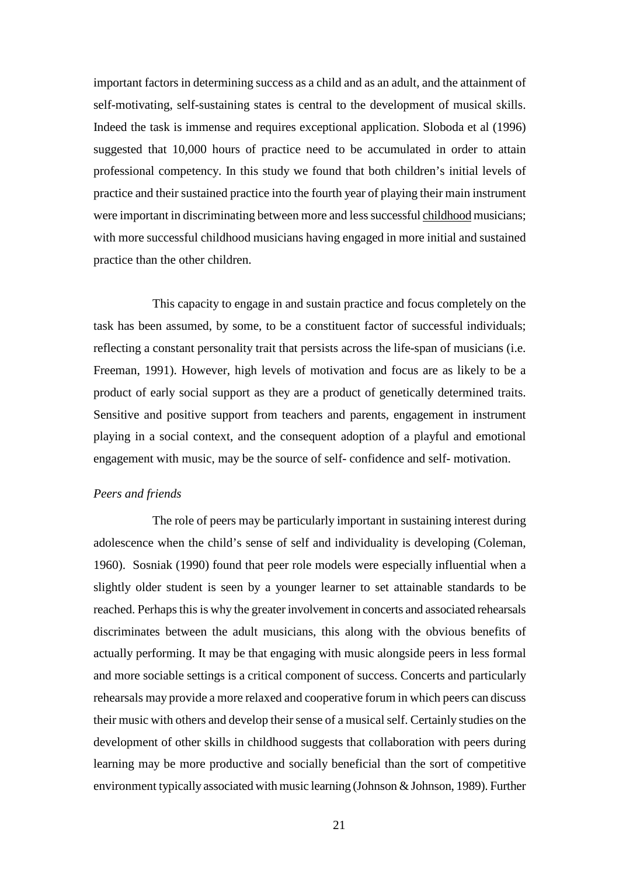important factors in determining success as a child and as an adult, and the attainment of self-motivating, self-sustaining states is central to the development of musical skills. Indeed the task is immense and requires exceptional application. Sloboda et al (1996) suggested that 10,000 hours of practice need to be accumulated in order to attain professional competency. In this study we found that both children's initial levels of practice and their sustained practice into the fourth year of playing their main instrument were important in discriminating between more and less successful childhood musicians; with more successful childhood musicians having engaged in more initial and sustained practice than the other children.

This capacity to engage in and sustain practice and focus completely on the task has been assumed, by some, to be a constituent factor of successful individuals; reflecting a constant personality trait that persists across the life-span of musicians (i.e. Freeman, 1991). However, high levels of motivation and focus are as likely to be a product of early social support as they are a product of genetically determined traits. Sensitive and positive support from teachers and parents, engagement in instrument playing in a social context, and the consequent adoption of a playful and emotional engagement with music, may be the source of self- confidence and self- motivation.

#### *Peers and friends*

The role of peers may be particularly important in sustaining interest during adolescence when the child's sense of self and individuality is developing (Coleman, 1960). Sosniak (1990) found that peer role models were especially influential when a slightly older student is seen by a younger learner to set attainable standards to be reached. Perhaps this is why the greater involvement in concerts and associated rehearsals discriminates between the adult musicians, this along with the obvious benefits of actually performing. It may be that engaging with music alongside peers in less formal and more sociable settings is a critical component of success. Concerts and particularly rehearsals may provide a more relaxed and cooperative forum in which peers can discuss their music with others and develop their sense of a musical self. Certainly studies on the development of other skills in childhood suggests that collaboration with peers during learning may be more productive and socially beneficial than the sort of competitive environment typically associated with music learning (Johnson & Johnson, 1989). Further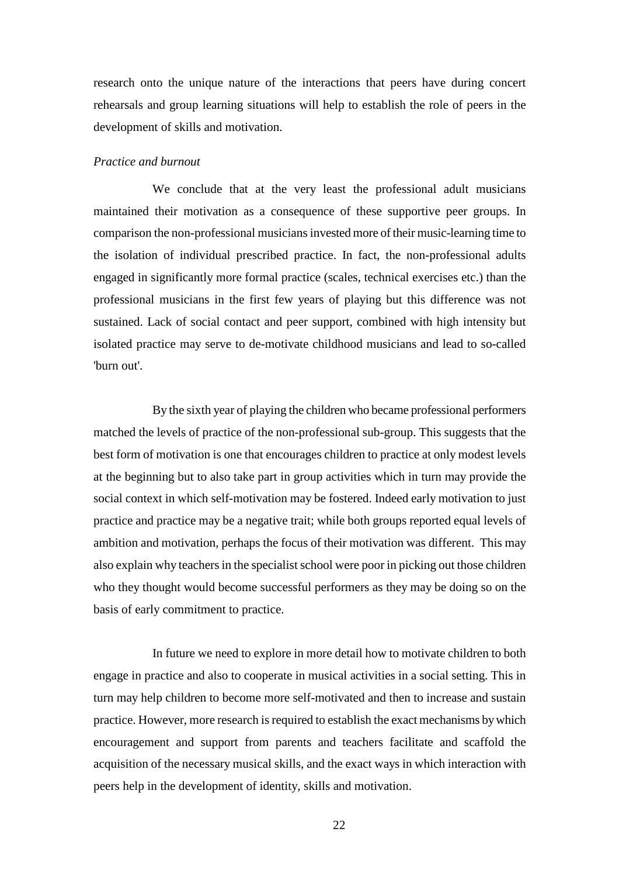research onto the unique nature of the interactions that peers have during concert rehearsals and group learning situations will help to establish the role of peers in the development of skills and motivation.

## *Practice and burnout*

We conclude that at the very least the professional adult musicians maintained their motivation as a consequence of these supportive peer groups. In comparison the non-professional musicians invested more of their music-learning time to the isolation of individual prescribed practice. In fact, the non-professional adults engaged in significantly more formal practice (scales, technical exercises etc.) than the professional musicians in the first few years of playing but this difference was not sustained. Lack of social contact and peer support, combined with high intensity but isolated practice may serve to de-motivate childhood musicians and lead to so-called 'burn out'.

By the sixth year of playing the children who became professional performers matched the levels of practice of the non-professional sub-group. This suggests that the best form of motivation is one that encourages children to practice at only modest levels at the beginning but to also take part in group activities which in turn may provide the social context in which self-motivation may be fostered. Indeed early motivation to just practice and practice may be a negative trait; while both groups reported equal levels of ambition and motivation, perhaps the focus of their motivation was different. This may also explain why teachers in the specialist school were poor in picking out those children who they thought would become successful performers as they may be doing so on the basis of early commitment to practice.

In future we need to explore in more detail how to motivate children to both engage in practice and also to cooperate in musical activities in a social setting. This in turn may help children to become more self-motivated and then to increase and sustain practice. However, more research is required to establish the exact mechanisms by which encouragement and support from parents and teachers facilitate and scaffold the acquisition of the necessary musical skills, and the exact ways in which interaction with peers help in the development of identity, skills and motivation.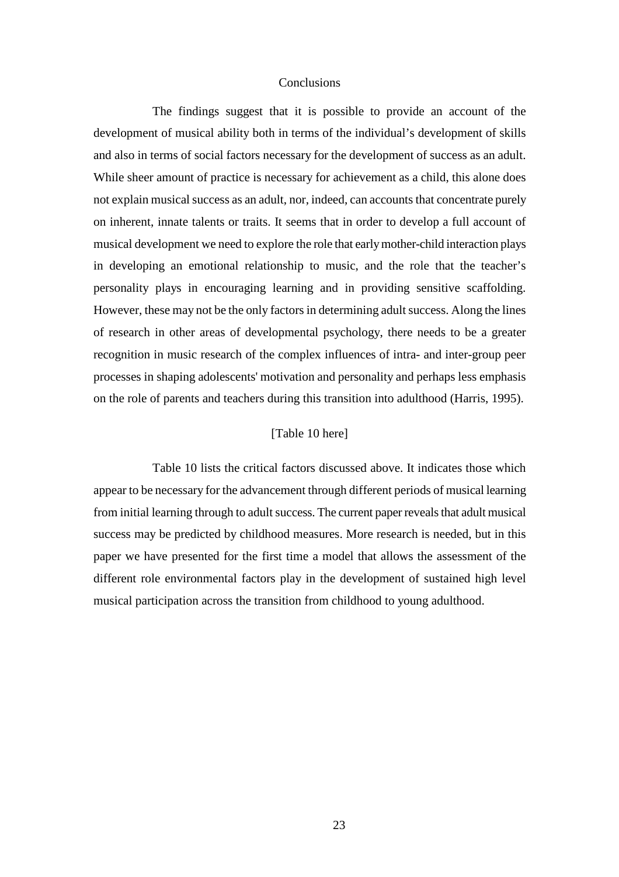#### **Conclusions**

The findings suggest that it is possible to provide an account of the development of musical ability both in terms of the individual's development of skills and also in terms of social factors necessary for the development of success as an adult. While sheer amount of practice is necessary for achievement as a child, this alone does not explain musical success as an adult, nor, indeed, can accounts that concentrate purely on inherent, innate talents or traits. It seems that in order to develop a full account of musical development we need to explore the role that early mother-child interaction plays in developing an emotional relationship to music, and the role that the teacher's personality plays in encouraging learning and in providing sensitive scaffolding. However, these may not be the only factors in determining adult success. Along the lines of research in other areas of developmental psychology, there needs to be a greater recognition in music research of the complex influences of intra- and inter-group peer processes in shaping adolescents' motivation and personality and perhaps less emphasis on the role of parents and teachers during this transition into adulthood (Harris, 1995).

# [Table 10 here]

Table 10 lists the critical factors discussed above. It indicates those which appear to be necessary for the advancement through different periods of musical learning from initial learning through to adult success. The current paper reveals that adult musical success may be predicted by childhood measures. More research is needed, but in this paper we have presented for the first time a model that allows the assessment of the different role environmental factors play in the development of sustained high level musical participation across the transition from childhood to young adulthood.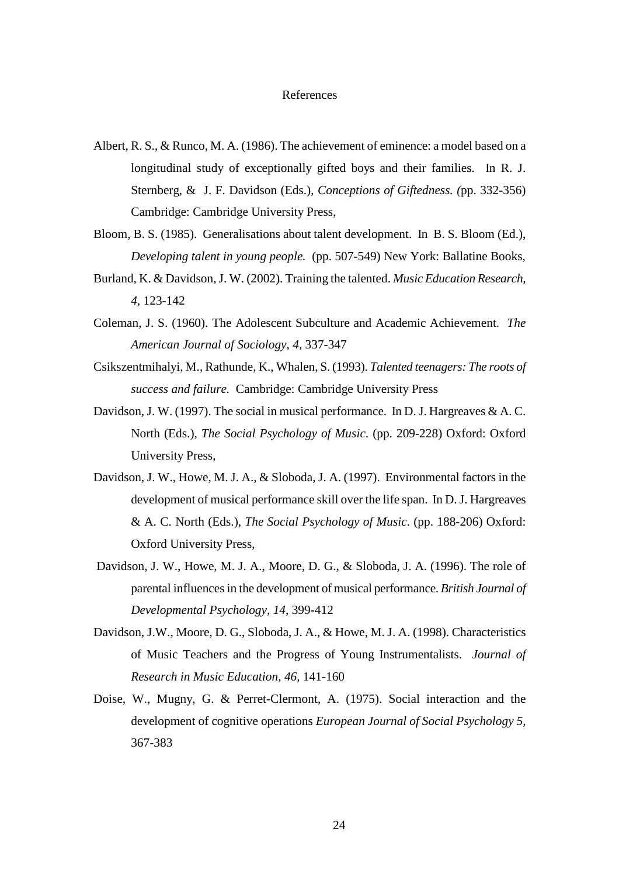#### References

- Albert, R. S., & Runco, M. A. (1986). The achievement of eminence: a model based on a longitudinal study of exceptionally gifted boys and their families. In R. J. Sternberg, & J. F. Davidson (Eds.), *Conceptions of Giftedness. (*pp. 332-356) Cambridge: Cambridge University Press,
- Bloom, B. S. (1985). Generalisations about talent development. In B. S. Bloom (Ed.), *Developing talent in young people.* (pp. 507-549) New York: Ballatine Books,
- Burland, K. & Davidson, J. W. (2002). Training the talented. *Music Education Research, 4*, 123-142
- Coleman, J. S. (1960). The Adolescent Subculture and Academic Achievement. *The American Journal of Sociology, 4,* 337-347
- Csikszentmihalyi, M., Rathunde, K., Whalen, S. (1993). *Talented teenagers: The roots of success and failure.* Cambridge: Cambridge University Press
- Davidson, J. W. (1997). The social in musical performance. In D. J. Hargreaves & A. C. North (Eds.), *The Social Psychology of Music*. (pp. 209-228) Oxford: Oxford University Press,
- Davidson, J. W., Howe, M. J. A., & Sloboda, J. A. (1997). Environmental factors in the development of musical performance skill over the life span. In D. J. Hargreaves & A. C. North (Eds.), *The Social Psychology of Music*. (pp. 188-206) Oxford: Oxford University Press,
- Davidson, J. W., Howe, M. J. A., Moore, D. G., & Sloboda, J. A. (1996). The role of parental influences in the development of musical performance. *British Journal of Developmental Psychology, 14*, 399-412
- Davidson, J.W., Moore, D. G., Sloboda, J. A., & Howe, M. J. A. (1998). Characteristics of Music Teachers and the Progress of Young Instrumentalists. *Journal of Research in Music Education, 46*, 141-160
- Doise, W., Mugny, G. & Perret-Clermont, A. (1975). Social interaction and the development of cognitive operations *European Journal of Social Psychology 5,*  367-383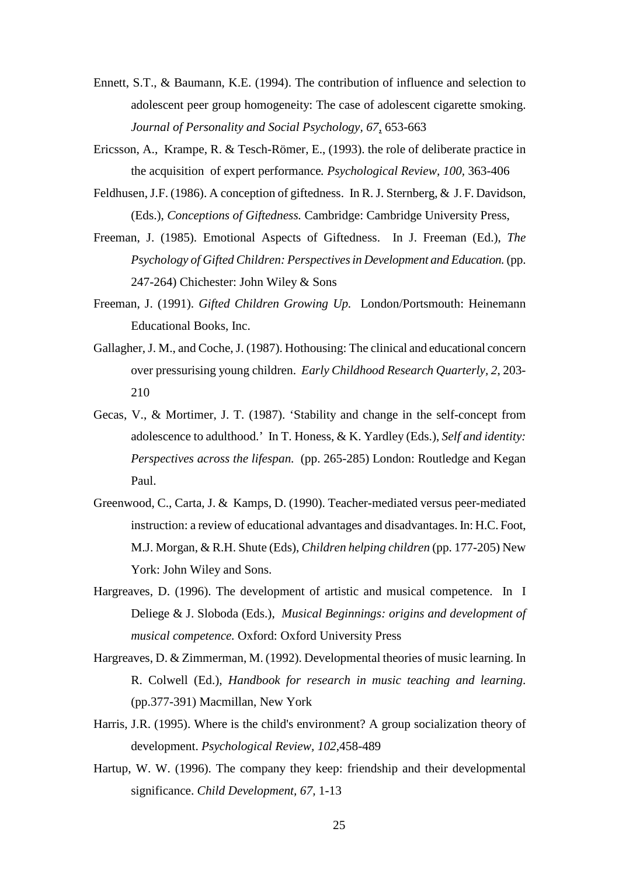- Ennett, S.T., & Baumann, K.E. (1994). The contribution of influence and selection to adolescent peer group homogeneity: The case of adolescent cigarette smoking. *Journal of Personality and Social Psychology, 67,* 653-663
- Ericsson, A., Krampe, R. & Tesch-Römer, E., (1993). the role of deliberate practice in the acquisition of expert performance*. Psychological Review, 100,* 363-406
- Feldhusen, J.F. (1986). A conception of giftedness. In R. J. Sternberg, & J. F. Davidson, (Eds.), *Conceptions of Giftedness.* Cambridge: Cambridge University Press,
- Freeman, J. (1985). Emotional Aspects of Giftedness. In J. Freeman (Ed.), *The Psychology of Gifted Children: Perspectives in Development and Education.*(pp. 247-264) Chichester: John Wiley & Sons
- Freeman, J. (1991). *Gifted Children Growing Up.* London/Portsmouth: Heinemann Educational Books, Inc.
- Gallagher, J. M., and Coche, J. (1987). Hothousing: The clinical and educational concern over pressurising young children. *Early Childhood Research Quarterly, 2*, 203- 210
- Gecas, V., & Mortimer, J. T. (1987). 'Stability and change in the self-concept from adolescence to adulthood.' In T. Honess, & K. Yardley (Eds.), *Self and identity: Perspectives across the lifespan.* (pp. 265-285) London: Routledge and Kegan Paul.
- Greenwood, C., Carta, J. & Kamps, D. (1990). Teacher-mediated versus peer-mediated instruction: a review of educational advantages and disadvantages. In: H.C. Foot, M.J. Morgan, & R.H. Shute (Eds), *Children helping children* (pp. 177-205) New York: John Wiley and Sons.
- Hargreaves, D. (1996). The development of artistic and musical competence. In I Deliege & J. Sloboda (Eds.), *Musical Beginnings: origins and development of musical competence.* Oxford: Oxford University Press
- Hargreaves, D. & Zimmerman, M. (1992). Developmental theories of music learning. In R. Colwell (Ed.), *Handbook for research in music teaching and learning*. (pp.377-391) Macmillan, New York
- Harris, J.R. (1995). Where is the child's environment? A group socialization theory of development. *Psychological Review, 102*,458-489
- Hartup, W. W. (1996). The company they keep: friendship and their developmental significance. *Child Development, 67,* 1-13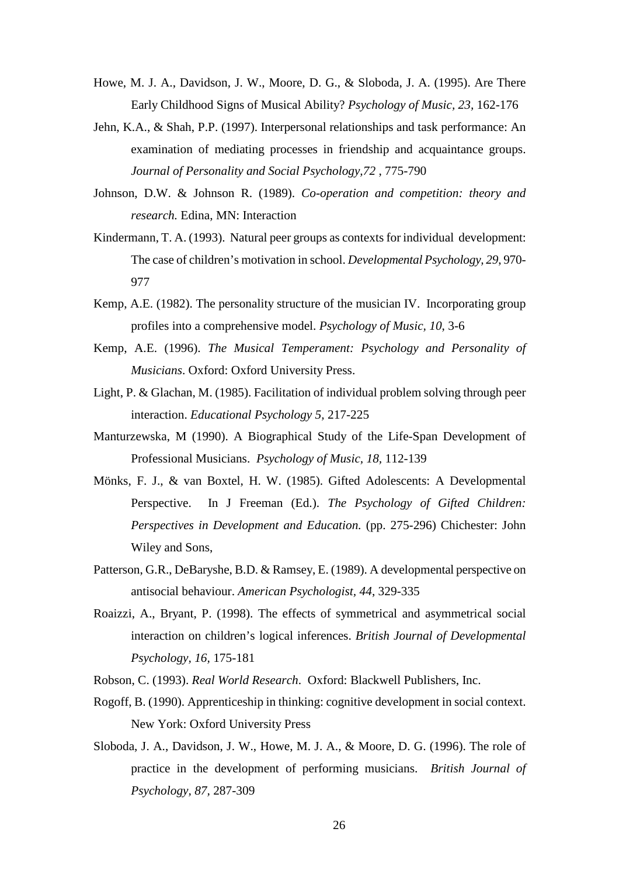- Howe, M. J. A., Davidson, J. W., Moore, D. G., & Sloboda, J. A. (1995). Are There Early Childhood Signs of Musical Ability? *Psychology of Music, 23,* 162-176
- Jehn, K.A., & Shah, P.P. (1997). Interpersonal relationships and task performance: An examination of mediating processes in friendship and acquaintance groups. *Journal of Personality and Social Psychology,72* , 775-790
- Johnson, D.W. & Johnson R. (1989). *Co-operation and competition: theory and research.* Edina, MN: Interaction
- Kindermann, T. A. (1993). Natural peer groups as contexts for individual development: The case of children's motivation in school. *Developmental Psychology, 29*, 970- 977
- Kemp, A.E. (1982). The personality structure of the musician IV. Incorporating group profiles into a comprehensive model. *Psychology of Music, 10*, 3-6
- Kemp, A.E. (1996). *The Musical Temperament: Psychology and Personality of Musicians*. Oxford: Oxford University Press.
- Light, P. & Glachan, M. (1985). Facilitation of individual problem solving through peer interaction. *Educational Psychology 5,* 217-225
- Manturzewska, M (1990). A Biographical Study of the Life-Span Development of Professional Musicians. *Psychology of Music, 18,* 112-139
- Mönks, F. J., & van Boxtel, H. W. (1985). Gifted Adolescents: A Developmental Perspective. In J Freeman (Ed.). *The Psychology of Gifted Children: Perspectives in Development and Education.* (pp. 275-296) Chichester: John Wiley and Sons,
- Patterson, G.R., DeBaryshe, B.D. & Ramsey, E. (1989). A developmental perspective on antisocial behaviour. *American Psychologist, 44*, 329-335
- Roaizzi, A., Bryant, P. (1998). The effects of symmetrical and asymmetrical social interaction on children's logical inferences. *British Journal of Developmental Psychology, 16,* 175-181
- Robson, C. (1993). *Real World Research*. Oxford: Blackwell Publishers, Inc.
- Rogoff, B. (1990). Apprenticeship in thinking: cognitive development in social context. New York: Oxford University Press
- Sloboda, J. A., Davidson, J. W., Howe, M. J. A., & Moore, D. G. (1996). The role of practice in the development of performing musicians. *British Journal of Psychology, 87,* 287-309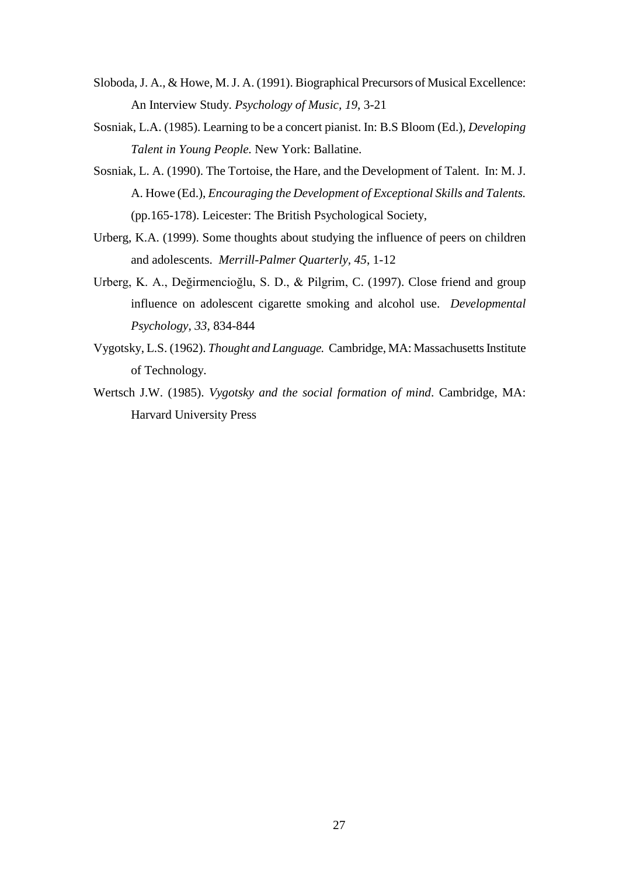- Sloboda, J. A., & Howe, M. J. A. (1991). Biographical Precursors of Musical Excellence: An Interview Study. *Psychology of Music, 19*, 3-21
- Sosniak, L.A. (1985). Learning to be a concert pianist. In: B.S Bloom (Ed.), *Developing Talent in Young People.* New York: Ballatine.
- Sosniak, L. A. (1990). The Tortoise, the Hare, and the Development of Talent. In: M. J. A. Howe (Ed.), *Encouraging the Development of Exceptional Skills and Talents.* (pp.165-178). Leicester: The British Psychological Society,
- Urberg, K.A. (1999). Some thoughts about studying the influence of peers on children and adolescents. *Merrill-Palmer Quarterly, 45*, 1-12
- Urberg, K. A., Değirmencioğlu, S. D., & Pilgrim, C. (1997). Close friend and group influence on adolescent cigarette smoking and alcohol use. *Developmental Psychology, 33*, 834-844
- Vygotsky, L.S. (1962). *Thought and Language.* Cambridge, MA: Massachusetts Institute of Technology.
- Wertsch J.W. (1985). *Vygotsky and the social formation of mind*. Cambridge, MA: Harvard University Press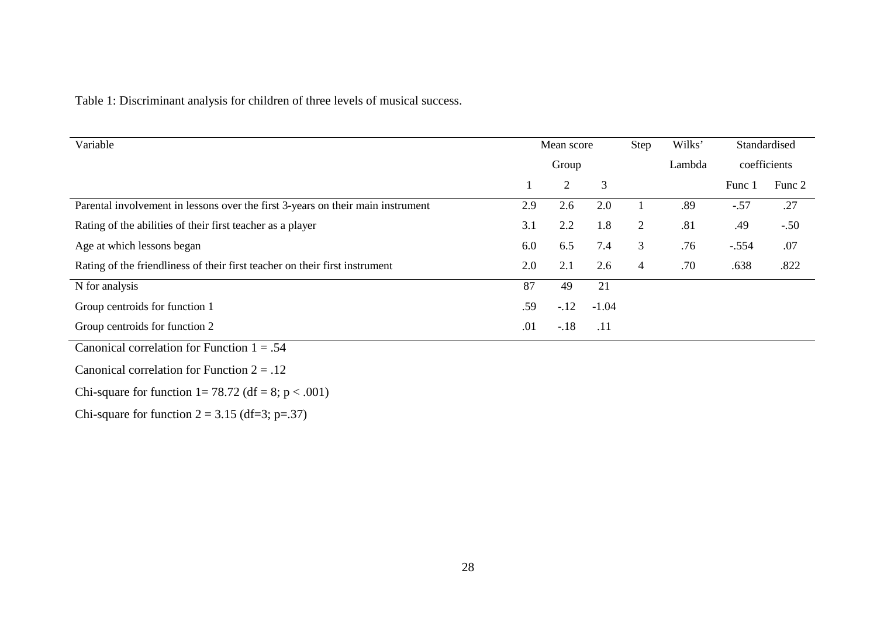Table 1: Discriminant analysis for children of three levels of musical success.

| Variable                                                                        | Mean score |                | Step    | Wilks' | Standardised |              |        |
|---------------------------------------------------------------------------------|------------|----------------|---------|--------|--------------|--------------|--------|
|                                                                                 |            | Group          |         | Lambda |              | coefficients |        |
|                                                                                 |            | $\overline{2}$ | 3       |        |              | Func 1       | Func 2 |
| Parental involvement in lessons over the first 3-years on their main instrument | 2.9        | 2.6            | 2.0     |        | .89          | $-.57$       | .27    |
| Rating of the abilities of their first teacher as a player                      | 3.1        | 2.2            | 1.8     | 2      | .81          | .49          | $-.50$ |
| Age at which lessons began                                                      | 6.0        | 6.5            | 7.4     | 3      | .76          | $-.554$      | .07    |
| Rating of the friendliness of their first teacher on their first instrument     | 2.0        | 2.1            | 2.6     | 4      | .70          | .638         | .822   |
| N for analysis                                                                  | 87         | 49             | 21      |        |              |              |        |
| Group centroids for function 1                                                  | .59        | $-12$          | $-1.04$ |        |              |              |        |
| Group centroids for function 2                                                  | .01        | $-.18$         | .11     |        |              |              |        |
| Canonical correlation for Function $1 = .54$                                    |            |                |         |        |              |              |        |

Canonical correlation for Function  $2 = .12$ 

Chi-square for function  $1 = 78.72$  (df = 8; p < .001)

Chi-square for function  $2 = 3.15$  (df=3; p=.37)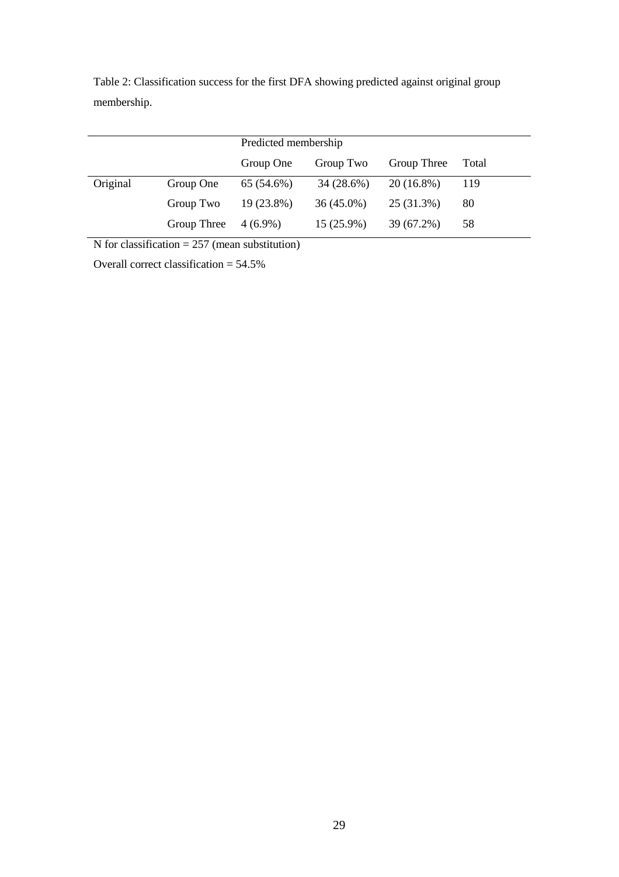|          |             | Predicted membership |              |              |       |  |
|----------|-------------|----------------------|--------------|--------------|-------|--|
|          |             | Group One            | Group Two    | Group Three  | Total |  |
| Original | Group One   | 65 (54.6%)           | 34(28.6%)    | $20(16.8\%)$ | 119   |  |
|          | Group Two   | 19 (23.8%)           | $36(45.0\%)$ | 25 (31.3%)   | 80    |  |
|          | Group Three | $4(6.9\%)$           | $15(25.9\%)$ | 39 (67.2%)   | 58    |  |

Table 2: Classification success for the first DFA showing predicted against original group membership.

N for classification  $= 257$  (mean substitution)

Overall correct classification = 54.5%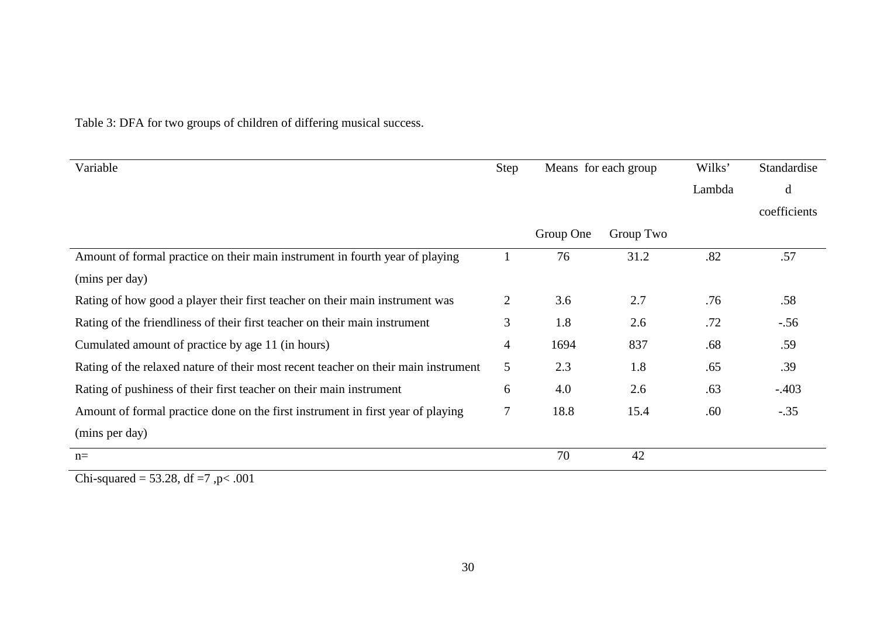| Variable                                                                           | Step | Means for each group |           | Wilks' | Standardise  |
|------------------------------------------------------------------------------------|------|----------------------|-----------|--------|--------------|
|                                                                                    |      |                      |           | Lambda | d            |
|                                                                                    |      |                      |           |        | coefficients |
|                                                                                    |      | Group One            | Group Two |        |              |
| Amount of formal practice on their main instrument in fourth year of playing       |      | 76                   | 31.2      | .82    | .57          |
| (mins per day)                                                                     |      |                      |           |        |              |
| Rating of how good a player their first teacher on their main instrument was       | 2    | 3.6                  | 2.7       | .76    | .58          |
| Rating of the friendliness of their first teacher on their main instrument         | 3    | 1.8                  | 2.6       | .72    | $-.56$       |
| Cumulated amount of practice by age 11 (in hours)                                  | 4    | 1694                 | 837       | .68    | .59          |
| Rating of the relaxed nature of their most recent teacher on their main instrument | 5    | 2.3                  | 1.8       | .65    | .39          |
| Rating of pushiness of their first teacher on their main instrument                | 6    | 4.0                  | 2.6       | .63    | $-.403$      |
| Amount of formal practice done on the first instrument in first year of playing    | 7    | 18.8                 | 15.4      | .60    | $-.35$       |
| (mins per day)                                                                     |      |                      |           |        |              |
| $n=$                                                                               |      | 70                   | 42        |        |              |

Table 3: DFA for two groups of children of differing musical success.

Chi-squared =  $53.28$ , df =  $7$ , p  $< .001$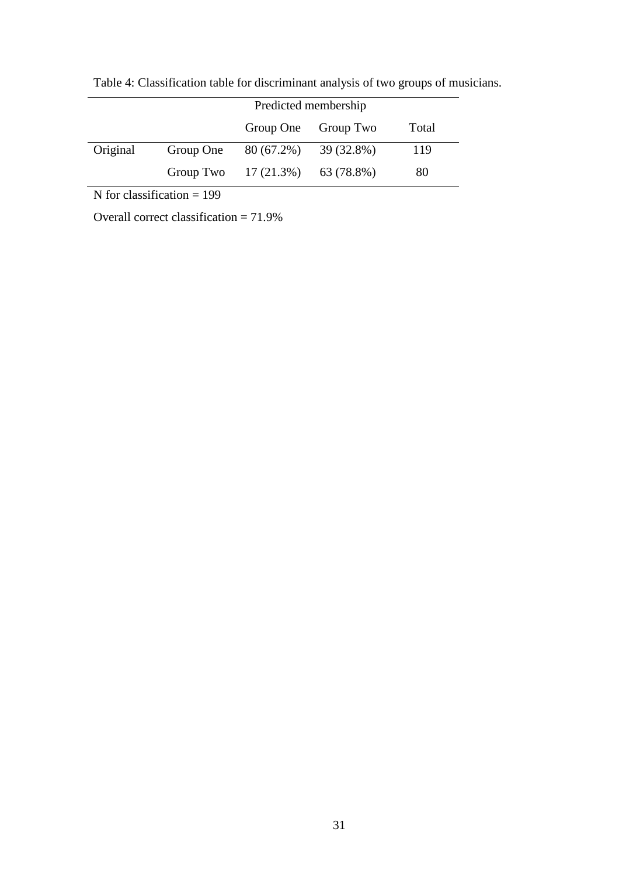|          | Predicted membership |                                   |                     |       |
|----------|----------------------|-----------------------------------|---------------------|-------|
|          |                      |                                   | Group One Group Two | Total |
| Original |                      | Group One $80(67.2\%)$ 39 (32.8%) |                     | 119   |
|          |                      | Group Two $17(21.3\%)$ 63 (78.8%) |                     | 80    |

Table 4: Classification table for discriminant analysis of two groups of musicians.

N for classification  $= 199$ 

Overall correct classification = 71.9%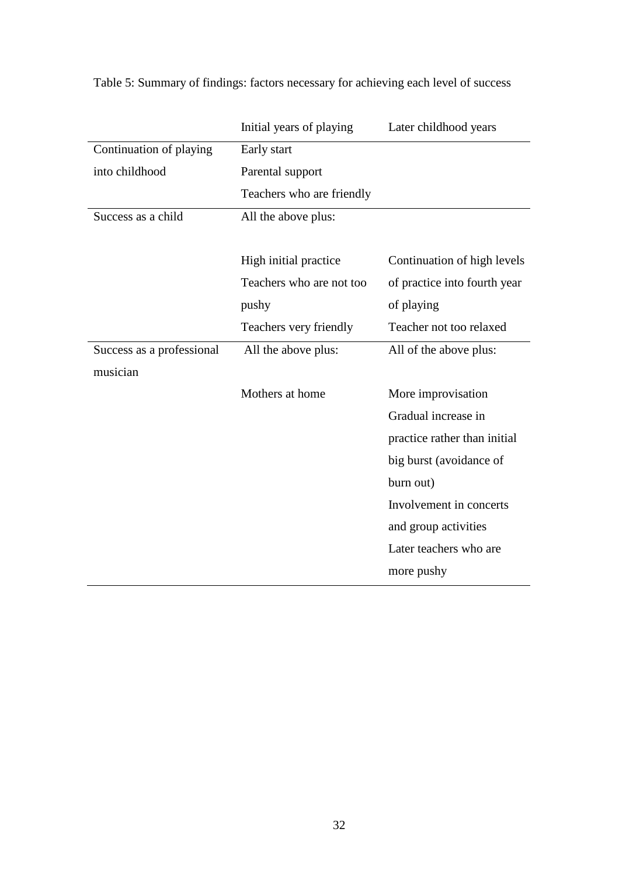|                           | Initial years of playing  | Later childhood years        |
|---------------------------|---------------------------|------------------------------|
| Continuation of playing   | Early start               |                              |
| into childhood            | Parental support          |                              |
|                           | Teachers who are friendly |                              |
| Success as a child        | All the above plus:       |                              |
|                           |                           |                              |
|                           | High initial practice     | Continuation of high levels  |
|                           | Teachers who are not too  | of practice into fourth year |
|                           | pushy                     | of playing                   |
|                           | Teachers very friendly    | Teacher not too relaxed      |
| Success as a professional | All the above plus:       | All of the above plus:       |
| musician                  |                           |                              |
|                           | Mothers at home           | More improvisation           |
|                           |                           | Gradual increase in          |
|                           |                           | practice rather than initial |
|                           |                           | big burst (avoidance of      |
|                           |                           | burn out)                    |
|                           |                           | Involvement in concerts      |
|                           |                           | and group activities         |
|                           |                           | Later teachers who are       |
|                           |                           | more pushy                   |
|                           |                           |                              |

Table 5: Summary of findings: factors necessary for achieving each level of success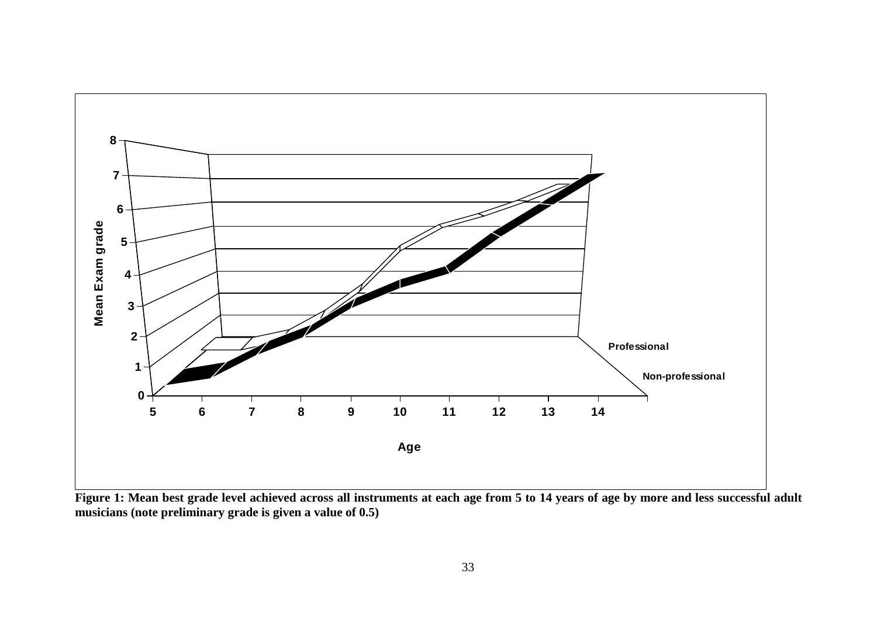

**Figure 1: Mean best grade level achieved across all instruments at each age from 5 to 14 years of age by more and less successful adult musicians (note preliminary grade is given a value of 0.5)**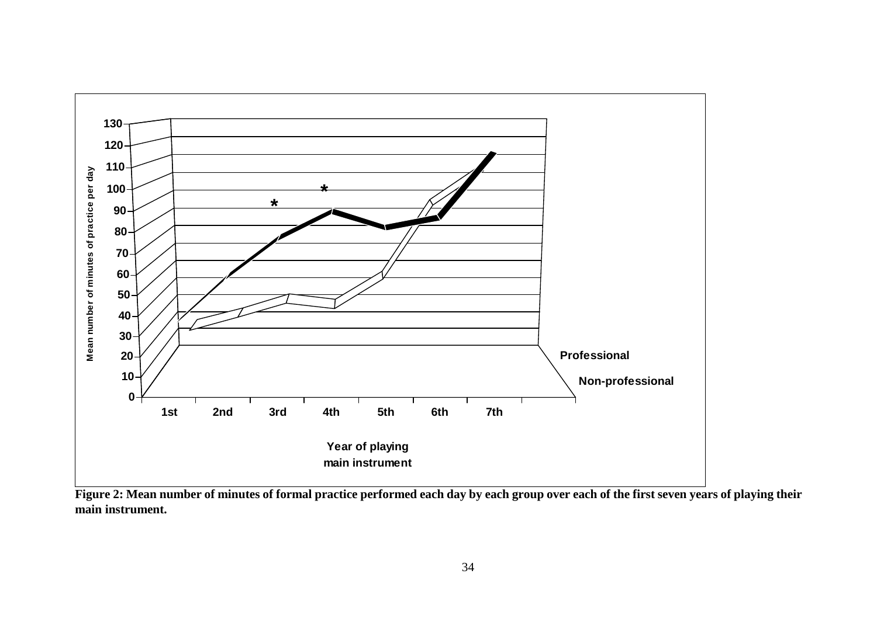

**Figure 2: Mean number of minutes of formal practice performed each day by each group over each of the first seven years of playing their main instrument.**